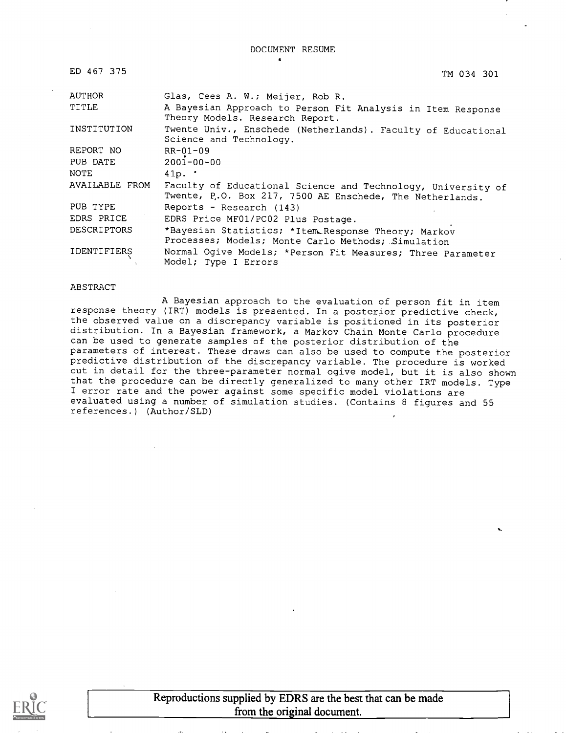DOCUMENT RESUME

ED 467 375

TM 034 301

| AUTHOR             | Glas, Cees A. W.; Meijer, Rob R.                                                                                         |
|--------------------|--------------------------------------------------------------------------------------------------------------------------|
| TITLE              | A Bayesian Approach to Person Fit Analysis in Item Response<br>Theory Models. Research Report.                           |
| INSTITUTION        | Twente Univ., Enschede (Netherlands). Faculty of Educational<br>Science and Technology.                                  |
| REPORT NO          | $RR-01-09$                                                                                                               |
| PUB DATE           | $2001 - 00 - 00$                                                                                                         |
| NOTE               | 41p.                                                                                                                     |
| AVAILABLE FROM     | Faculty of Educational Science and Technology, University of<br>Twente, P.O. Box 217, 7500 AE Enschede, The Netherlands. |
| PUB TYPE           | Reports - Research (143)                                                                                                 |
| EDRS PRICE         | EDRS Price MF01/PC02 Plus Postage.                                                                                       |
| <b>DESCRIPTORS</b> | *Bayesian Statistics; *Item Response Theory; Markov                                                                      |
|                    | Processes; Models; Monte Carlo Methods; Simulation                                                                       |
| IDENTIFIERS        | Normal Ogive Models; *Person Fit Measures; Three Parameter<br>Model; Type I Errors                                       |

#### ABSTRACT

A Bayesian approach to the evaluation of person fit in item response theory (IRT) models is presented. In a posterior predictive check, the observed value on a discrepancy variable is positioned in its posterior distribution. In a Bayesian framework, a Markov Chain Monte Carlo procedure can be used to generate samples of the posterior distribution of the parameters of interest. These draws can also be used to compute the posterior predictive distribution of the discrepancy variable. The procedure is worked out in detail for the three-parameter normal ogive model, but it is also shown that the procedure can be directly generalized to many other IRT models. Type I error rate and the power against some specific model violations are<br>evaluated using a number of simulation studies. (Contains 8 figures and 55 references.) (Author/SLD)



Reproductions supplied by EDRS are the best that can be made from the original document.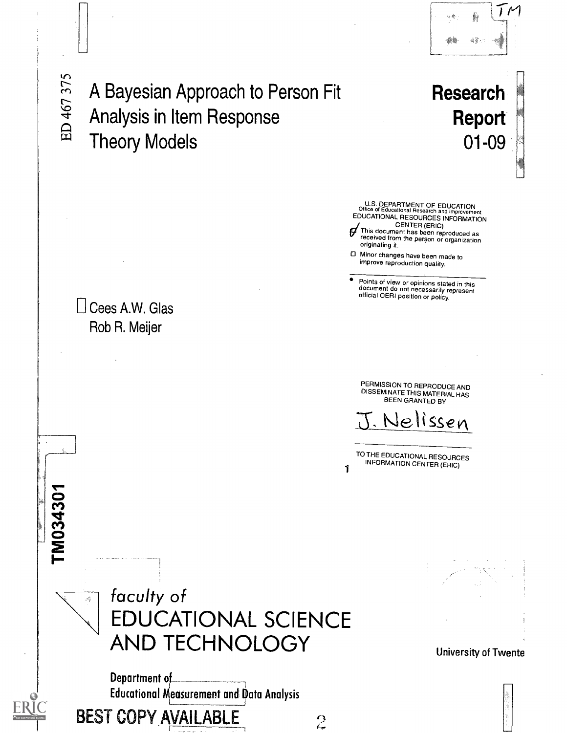

**M034301** 

Cees A.W. Glas

Rob R. Meijer

# A Bayesian Approach to Person Fit<br>  $\frac{2}{9}$  Analysis in Item Response<br>  $\frac{2}{9}$  Theory Medels Analysis in Item Response Theory Models



àŽ

TΜ

U<sub>u</sub>

U.S. DEPARTMENT OF EDUCATION Office of Educational Research and Improvement EDUCATIONAL RESOURCES INFORMATION

CENTER (ERIC) (51This document has been reproduced as received from the person or organization originating it.

Minor changes have been made to improve reproduction quality.

Points of view or opinions stated in this document do not necessarily represent official OERI position or policy.

PERMISSION TO REPRODUCE AND DISSEMINATE THIS MATERIAL HAS BEEN GRANTED BY

J. Nelissen

TO THE EDUCATIONAL RESOURCES INFORMATION CENTER (ERIC)

1



Department of\_ Educational Measurement and Data Analysis

|    |                 |   | ţ               |
|----|-----------------|---|-----------------|
|    | <b>COL</b><br>٠ | ï | <b>SERVICES</b> |
|    |                 |   | ţ<br>I          |
|    | ٠               |   |                 |
|    |                 |   |                 |
| í. |                 |   | i               |
|    |                 |   |                 |
|    |                 |   |                 |

### University of Twente

BEST COPY AVAILABLE 2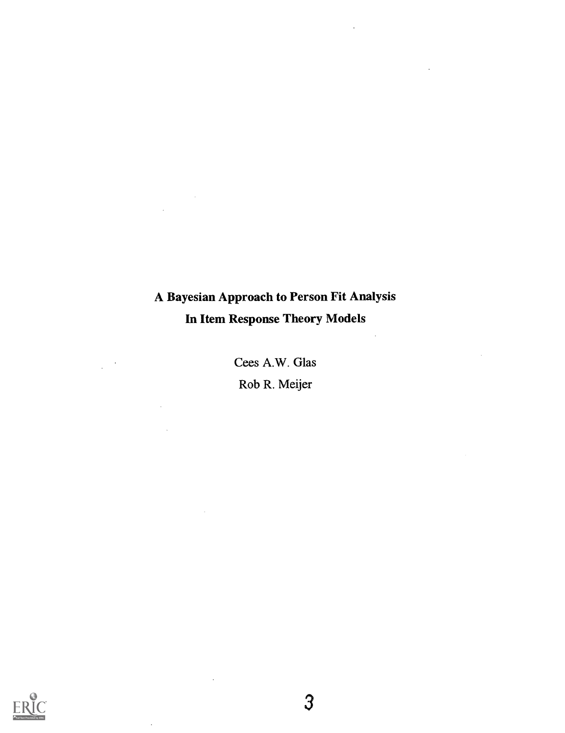# A Bayesian Approach to Person Fit Analysis In Item Response Theory Models

 $\hat{\mathcal{A}}$ 

Cees A.W. Glas Rob R. Meijer

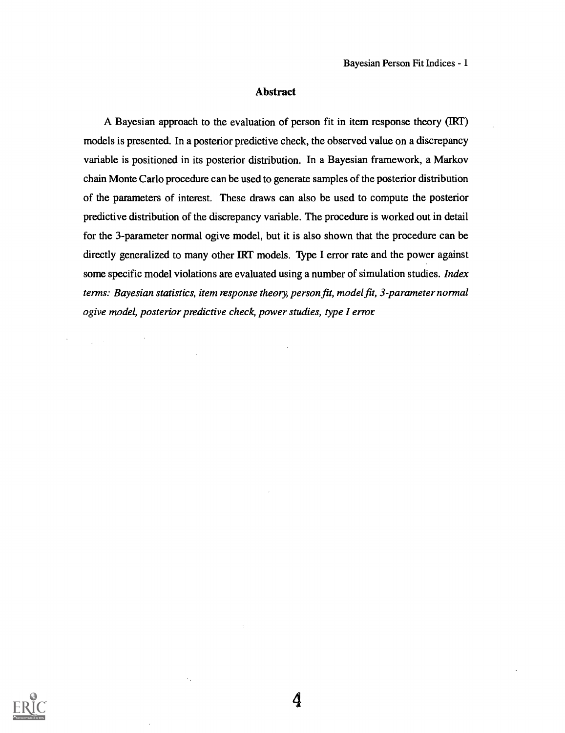#### Abstract

A Bayesian approach to the evaluation of person fit in item response theory (IRT) models is presented. In a posterior predictive check, the observed value on a discrepancy variable is positioned in its posterior distribution. In a Bayesian framework, a Markov chain Monte Carlo procedure can be used to generate samples of the posterior distribution of the parameters of interest. These draws can also be used to compute the posterior predictive distribution of the discrepancy variable. The procedure is worked out in detail for the 3-parameter normal ogive model, but it is also shown that the procedure can be directly generalized to many other IRT models. Type I error rate and the power against some specific model violations are evaluated using a number of simulation studies. *Index* terms: Bayesian statistics, item response theory, person fit, model fit, 3-parameter normal ogive model, posterior predictive check, power studies, type I error.

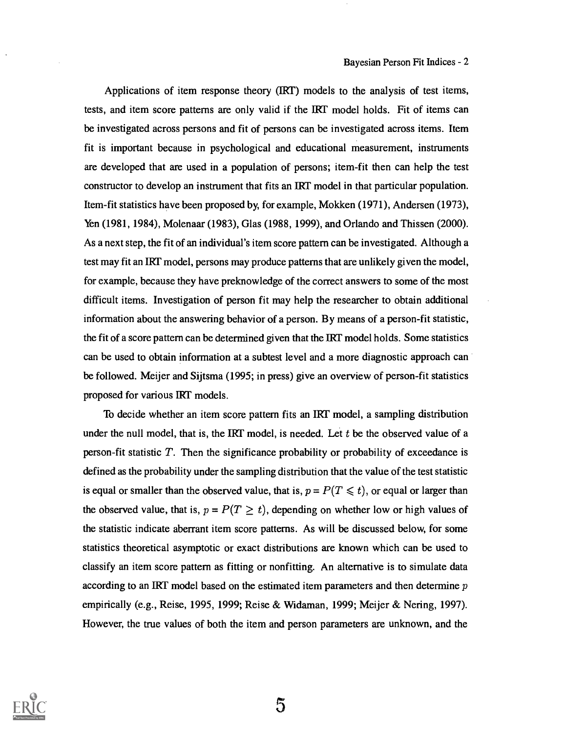Applications of item response theory (IRT) models to the analysis of test items, tests, and item score patterns are only valid if the IRT model holds. Fit of items can be investigated across persons and fit of persons can be investigated across items. Item fit is important because in psychological and educational measurement, instruments are developed that are used in a population of persons; item-fit then can help the test constructor to develop an instrument that fits an IRT model in that particular population. Item-fit statistics have been proposed by, for example, Mokken (1971), Andersen (1973), Yen (1981, 1984), Molenaar (1983), Glas (1988, 1999), and Orlando and Thissen (2000). As a next step, the fit of an individual's item score pattern can be investigated. Although a test may fit an IRT model, persons may produce patterns that are unlikely given the model, for example, because they have preknowledge of the correct answers to some of the most difficult items. Investigation of person fit may help the researcher to obtain additional information about the answering behavior of a person. By means of a person-fit statistic, the fit of a score pattern can be determined given that the IRT model holds. Some statistics can be used to obtain information at a subtest level and a more diagnostic approach can be followed. Meijer and Sijtsma (1995; in press) give an overview of person-fit statistics proposed for various IRT models.

To decide whether an item score pattern fits an IRT model, a sampling distribution under the null model, that is, the IRT model, is needed. Let  $t$  be the observed value of a person-fit statistic T. Then the significance probability or probability of exceedance is defined as the probability under the sampling distribution that the value of the test statistic is equal or smaller than the observed value, that is,  $p = P(T \le t)$ , or equal or larger than the observed value, that is,  $p = P(T \ge t)$ , depending on whether low or high values of the statistic indicate aberrant item score patterns. As will be discussed below, for some statistics theoretical asymptotic or exact distributions are known which can be used to classify an item score pattern as fitting or nonfitting. An alternative is to simulate data according to an IRT model based on the estimated item parameters and then determine p empirically (e.g., Reise, 1995, 1999; Reise & Widaman, 1999; Meijer & Nering, 1997). However, the true values of both the item and person parameters are unknown, and the

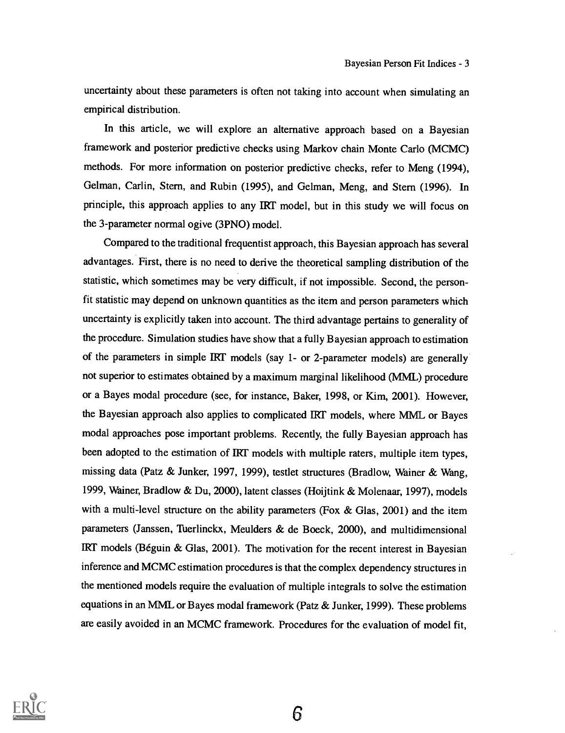uncertainty about these parameters is often not taking into account when simulating an empirical distribution.

In this article, we will explore an alternative approach based on a Bayesian framework and posterior predictive checks using Markov chain Monte Carlo (MCMC) methods. For more information on posterior predictive checks, refer to Meng (1994), Gelman, Carlin, Stern, and Rubin (1995), and Gelman, Meng, and Stern (1996). In principle, this approach applies to any IRT model, but in this study we will focus on the 3-parameter normal ogive (3PNO) model.

Compared to the traditional frequentist approach, this Bayesian approach has several advantages. First, there is no need to derive the theoretical sampling distribution of the statistic, which sometimes may be very difficult, if not impossible. Second, the personfit statistic may depend on unknown quantities as the item and person parameters which uncertainty is explicitly taken into account. The third advantage pertains to generality of the procedure. Simulation studies have show that a fully Bayesian approach to estimation of the parameters in simple MT models (say 1- or 2-parameter models) are generally not superior to estimates obtained by a maximum marginal likelihood (MML) procedure or a Bayes modal procedure (see, for instance, Baker, 1998, or Kim, 2001). However, the Bayesian approach also applies to complicated IRT models, where MML or Bayes modal approaches pose important problems. Recently, the fully Bayesian approach has been adopted to the estimation of IRT models with multiple raters, multiple item types, missing data (Patz & Junker, 1997, 1999), testlet structures (Bradlow, Wainer & Wang, 1999, Wainer, Bradlow & Du, 2000), latent classes (Hoijtink & Molenaar, 1997), models with a multi-level structure on the ability parameters (Fox & Glas, 2001) and the item parameters (Janssen, Tuerlinckx, Meulders & de Boeck, 2000), and multidimensional MT models (Beguin & Glas, 2001). The motivation for the recent interest in Bayesian inference and MCMC estimation procedures is that the complex dependency structures in the mentioned models require the evaluation of multiple integrals to solve the estimation equations in an MML or Bayes modal framework (Patz & Junker, 1999). These problems are easily avoided in an MCMC framework. Procedures for the evaluation of model fit,

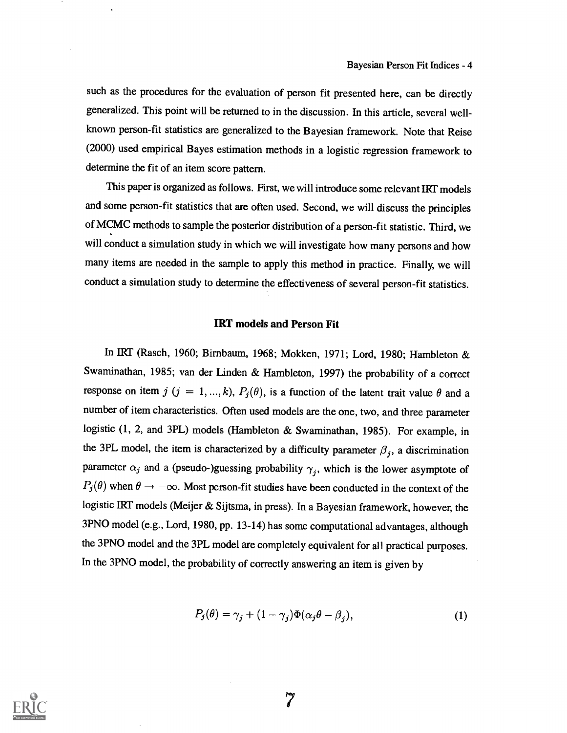such as the procedures for the evaluation of person fit presented here, can be directly generalized. This point will be returned to in the discussion. In this article, several wellknown person-fit statistics are generalized to the Bayesian framework. Note that Reise (2000) used empirical Bayes estimation methods in a logistic regression framework to determine the fit of an item score pattern.

This paper is organized as follows. First, we will introduce some relevant IRT models and some person-fit statistics that are often used. Second, we will discuss the principles of MCMC methods to sample the posterior distribution of a person-fit statistic. Third, we will conduct a simulation study in which we will investigate how many persons and how many items are needed in the sample to apply this method in practice. Finally, we will conduct a simulation study to determine the effectiveness of several person-fit statistics.

#### IRT models and Person Fit

In IRT (Rasch, 1960; Birnbaum, 1968; Mokken, 1971; Lord, 1980; Hambleton & Swaminathan, 1985; van der Linden & Hambleton, 1997) the probability of a correct response on item j  $(j = 1, ..., k)$ ,  $P_j(\theta)$ , is a function of the latent trait value  $\theta$  and a number of item characteristics. Often used models are the one, two, and three parameter logistic (1, 2, and 3PL) models (Hambleton & Swaminathan, 1985). For example, in the 3PL model, the item is characterized by a difficulty parameter  $\beta_j$ , a discrimination parameter  $\alpha_j$  and a (pseudo-)guessing probability  $\gamma_j$ , which is the lower asymptote of  $P_i(\theta)$  when  $\theta \to -\infty$ . Most person-fit studies have been conducted in the context of the logistic IRT models (Meijer & Sijtsma, in press). In a Bayesian framework, however, the 3PNO model (e.g., Lord, 1980, pp. 13-14) has some computational advantages, although the 3PNO model and the 3PL model are completely equivalent for all practical purposes. In the 3PNO model, the probability of correctly answering an item is given by

$$
P_j(\theta) = \gamma_j + (1 - \gamma_j)\Phi(\alpha_j \theta - \beta_j),\tag{1}
$$

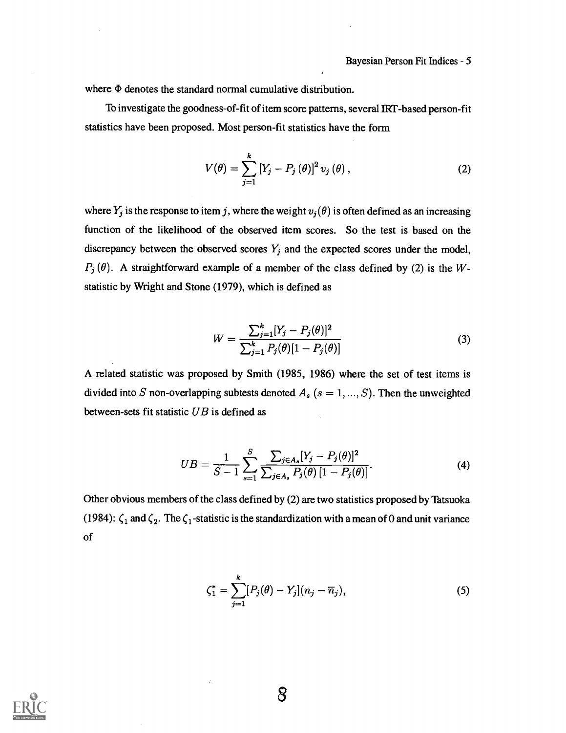where  $\Phi$  denotes the standard normal cumulative distribution.

To investigate the goodness-of-fit of item score patterns, several IRT-based person-fit statistics have been proposed. Most person-fit statistics have the form

$$
V(\theta) = \sum_{j=1}^{k} \left[ Y_j - P_j(\theta) \right]^2 v_j(\theta), \qquad (2)
$$

where  $Y_j$  is the response to item j, where the weight  $v_j(\theta)$  is often defined as an increasing function of the likelihood of the observed item scores. So the test is based on the discrepancy between the observed scores  $Y_j$  and the expected scores under the model,  $P_j(\theta)$ . A straightforward example of a member of the class defined by (2) is the Wstatistic by Wright and Stone (1979), which is defined as

$$
W = \frac{\sum_{j=1}^{k} [Y_j - P_j(\theta)]^2}{\sum_{j=1}^{k} P_j(\theta) [1 - P_j(\theta)]}
$$
(3)

A related statistic was proposed by Smith (1985, 1986) where the set of test items is divided into S non-overlapping subtests denoted  $A_s$  ( $s = 1, ..., S$ ). Then the unweighted between-sets fit statistic  $UB$  is defined as

$$
UB = \frac{1}{S - 1} \sum_{s=1}^{S} \frac{\sum_{j \in A_s} [Y_j - P_j(\theta)]^2}{\sum_{j \in A_s} P_j(\theta) [1 - P_j(\theta)]}.
$$
 (4)

Other obvious members of the class defined by (2) are two statistics proposed by Tatsuoka (1984):  $\zeta_1$  and  $\zeta_2$ . The  $\zeta_1$ -statistic is the standardization with a mean of 0 and unit variance of

$$
\zeta_1^* = \sum_{j=1}^k [P_j(\theta) - Y_j](n_j - \overline{n}_j),\tag{5}
$$

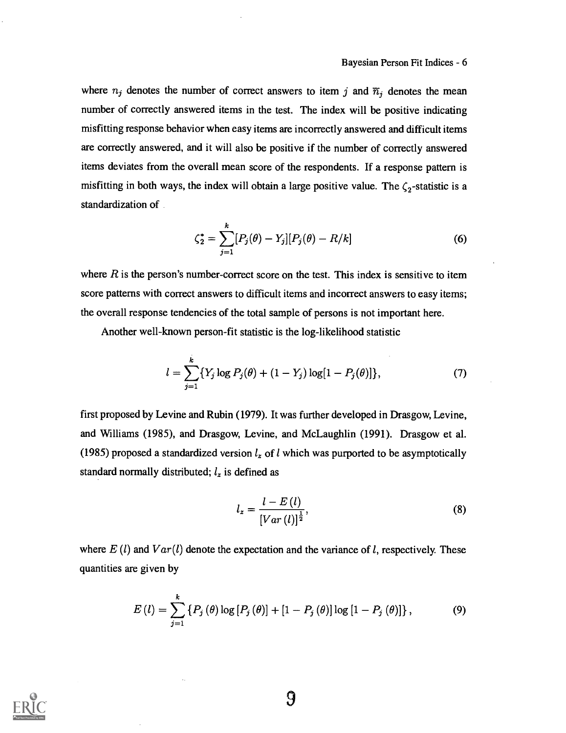where  $n_j$  denotes the number of correct answers to item j and  $\bar{n}_j$  denotes the mean number of correctly answered items in the test. The index will be positive indicating misfitting response behavior when easy items are incorrectly answered and difficult items are correctly answered, and it will also be positive if the number of correctly answered items deviates from the overall mean score of the respondents. If a response pattern is misfitting in both ways, the index will obtain a large positive value. The  $\zeta_2$ -statistic is a standardization of

$$
\zeta_2^* = \sum_{j=1}^k [P_j(\theta) - Y_j][P_j(\theta) - R/k] \tag{6}
$$

where  $R$  is the person's number-correct score on the test. This index is sensitive to item score patterns with correct answers to difficult items and incorrect answers to easy items; the overall response tendencies of the total sample of persons is not important here.

Another well-known person-fit statistic is the log-likelihood statistic

$$
l = \sum_{j=1}^{k} \{ Y_j \log P_j(\theta) + (1 - Y_j) \log[1 - P_j(\theta)] \},\tag{7}
$$

first proposed by Levine and Rubin (1979). It was further developed in Drasgow, Levine, and Williams (1985), and Drasgow, Levine, and McLaughlin (1991). Drasgow et al. (1985) proposed a standardized version  $l_z$  of l which was purported to be asymptotically standard normally distributed;  $l_z$  is defined as

$$
l_z = \frac{l - E(l)}{[Var(l)]^{\frac{1}{2}}},\tag{8}
$$

where  $E(l)$  and  $Var(l)$  denote the expectation and the variance of l, respectively. These quantities are given by

$$
E(l) = \sum_{j=1}^{k} \{ P_j(\theta) \log [P_j(\theta)] + [1 - P_j(\theta)] \log [1 - P_j(\theta)] \},
$$
 (9)

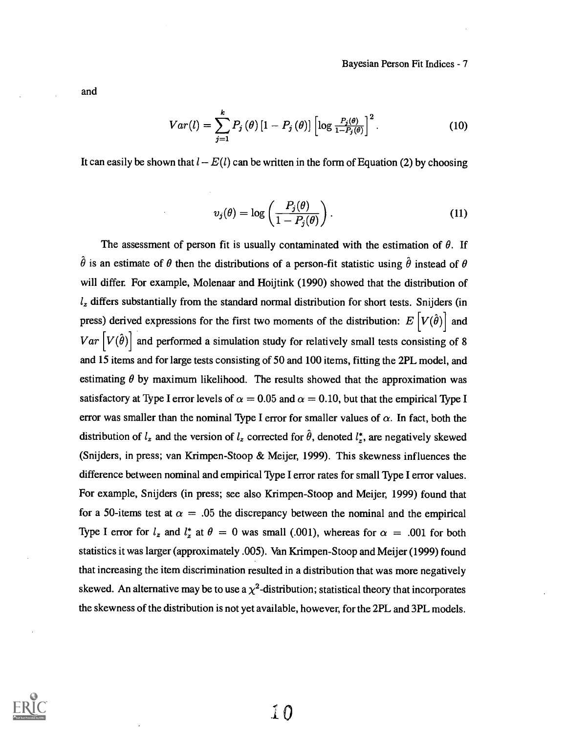#### Bayesian Person Fit Indices - 7

and

$$
Var(l) = \sum_{j=1}^{k} P_j(\theta) \left[1 - P_j(\theta)\right] \left[\log \frac{P_j(\theta)}{1 - P_j(\theta)}\right]^2.
$$
 (10)

It can easily be shown that  $l - E(l)$  can be written in the form of Equation (2) by choosing

$$
v_j(\theta) = \log\left(\frac{P_j(\theta)}{1 - P_j(\theta)}\right). \tag{11}
$$

The assessment of person fit is usually contaminated with the estimation of  $\theta$ . If  $\hat{\theta}$  is an estimate of  $\theta$  then the distributions of a person-fit statistic using  $\hat{\theta}$  instead of  $\theta$ will differ. For example, Molenaar and Hoijtink (1990) showed that the distribution of  $l<sub>z</sub>$  differs substantially from the standard normal distribution for short tests. Snijders (in press) derived expressions for the first two moments of the distribution:  $E\left|V(\hat{\theta})\right|$  and  $Var\left[V(\hat{\theta})\right]$  and performed a simulation study for relatively small tests consisting of 8 and 15 items and for large tests consisting of 50 and 100 items, fitting the 2PL model, and estimating  $\theta$  by maximum likelihood. The results showed that the approximation was satisfactory at Type I error levels of  $\alpha = 0.05$  and  $\alpha = 0.10$ , but that the empirical Type I error was smaller than the nominal Type I error for smaller values of  $\alpha$ . In fact, both the distribution of  $l_z$  and the version of  $l_z$  corrected for  $\hat{\theta}$ , denoted  $l_z^*$ , are negatively skewed (Snijders, in press; van Krimpen-Stoop & Meijer, 1999). This skewness influences the difference between nominal and empirical Type I error rates for small Type I error values. For example, Snijders (in press; see also Krimpen -Stoop and Meijer, 1999) found that for a 50-items test at  $\alpha = .05$  the discrepancy between the nominal and the empirical Type I error for  $l_z$  and  $l_z^*$  at  $\theta = 0$  was small (.001), whereas for  $\alpha = .001$  for both statistics it was larger (approximately .005). Van Krimpen-Stoop and Meijer (1999) found that increasing the item discrimination resulted in a distribution that was more negatively skewed. An alternative may be to use a  $\chi^2$ -distribution; statistical theory that incorporates the skewness of the distribution is not yet available, however, for the 2PL and 3PL models.

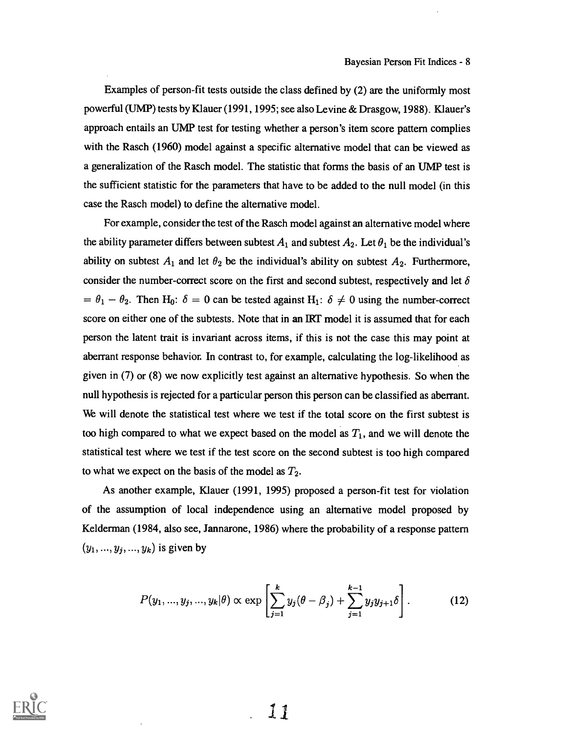Examples of person-fit tests outside the class defined by (2) are the uniformly most powerful (UMP) tests by Klauer (1991, 1995; see also Levine & Drasgow, 1988). Klauer's approach entails an UMP test for testing whether a person's item score pattern complies with the Rasch (1960) model against a specific alternative model that can be viewed as a generalization of the Rasch model. The statistic that forms the basis of an UMP test is the sufficient statistic for the parameters that have to be added to the null model (in this case the Rasch model) to define the alternative model.

For example, consider the test of the Rasch model against an alternative model where the ability parameter differs between subtest  $A_1$  and subtest  $A_2$ . Let  $\theta_1$  be the individual's ability on subtest  $A_1$  and let  $\theta_2$  be the individual's ability on subtest  $A_2$ . Furthermore, consider the number-correct score on the first and second subtest, respectively and let  $\delta$  $= \theta_1 - \theta_2$ . Then H<sub>0</sub>:  $\delta = 0$  can be tested against H<sub>1</sub>:  $\delta \neq 0$  using the number-correct score on either one of the subtests. Note that in an lRT model it is assumed that for each person the latent trait is invariant across items, if this is not the case this may point at aberrant response behavior. In contrast to, for example, calculating the log-likelihood as given in (7) or (8) we now explicitly test against an alternative hypothesis. So when the null hypothesis is rejected for a particular person this person can be classified as aberrant. We will denote the statistical test where we test if the total score on the first subtest is too high compared to what we expect based on the model as  $T_1$ , and we will denote the statistical test where we test if the test score on the second subtest is too high compared to what we expect on the basis of the model as  $T_2$ .

As another example, Klauer (1991, 1995) proposed a person-fit test for violation of the assumption of local independence using an alternative model proposed by Kelderman (1984, also see, Jannarone, 1986) where the probability of a response pattern  $(y_1, ..., y_j, ..., y_k)$  is given by

$$
P(y_1, ..., y_j, ..., y_k | \theta) \propto \exp \left[ \sum_{j=1}^k y_j (\theta - \beta_j) + \sum_{j=1}^{k-1} y_j y_{j+1} \delta \right].
$$
 (12)

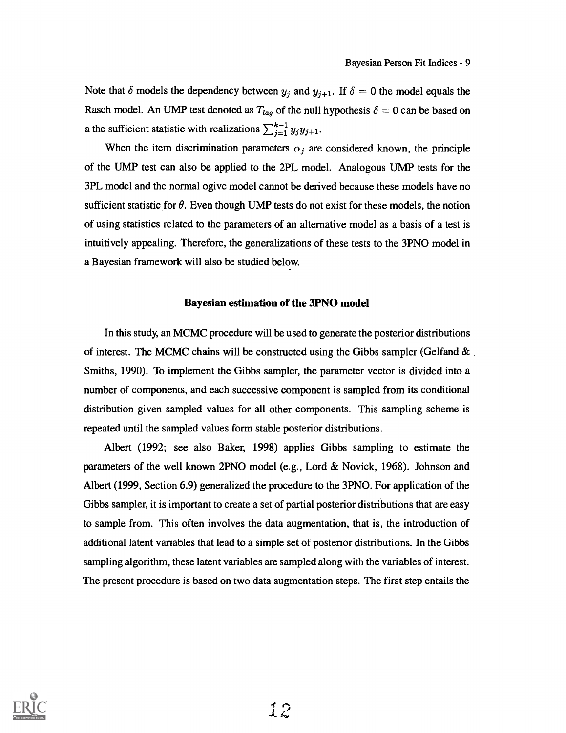Note that  $\delta$  models the dependency between  $y_j$  and  $y_{j+1}$ . If  $\delta = 0$  the model equals the Rasch model. An UMP test denoted as  $T_{lag}$  of the null hypothesis  $\delta = 0$  can be based on a the sufficient statistic with realizations  $\sum_{j=1}^{k-1} y_j y_{j+1}$ .

When the item discrimination parameters  $\alpha_i$  are considered known, the principle of the UMP test can also be applied to the 2PL model. Analogous UMP tests for the 3PL model and the normal ogive model cannot be derived because these models have no sufficient statistic for  $\theta$ . Even though UMP tests do not exist for these models, the notion of using statistics related to the parameters of an alternative model as a basis of a test is intuitively appealing. Therefore, the generalizations of these tests to the 3PNO model in a Bayesian framework will also be studied below.

#### Bayesian estimation of the 3PNO model

In this study, an MCMC procedure will be used to generate the posterior distributions of interest. The MCMC chains will be constructed using the Gibbs sampler (Gelfand  $\&$ Smiths, 1990). To implement the Gibbs sampler, the parameter vector is divided into a number of components, and each successive component is sampled from its conditional distribution given sampled values for all other components. This sampling scheme is repeated until the sampled values form stable posterior distributions.

Albert (1992; see also Baker, 1998) applies Gibbs sampling to estimate the parameters of the well known 2PNO model (e.g., Lord & Novick, 1968). Johnson and Albert (1999, Section 6.9) generalized the procedure to the 3PNO. For application of the Gibbs sampler, it is important to create a set of partial posterior distributions that are easy to sample from. This often involves the data augmentation, that is, the introduction of additional latent variables that lead to a simple set of posterior distributions. In the Gibbs sampling algorithm, these latent variables are sampled along with the variables of interest. The present procedure is based on two data augmentation steps. The first step entails the

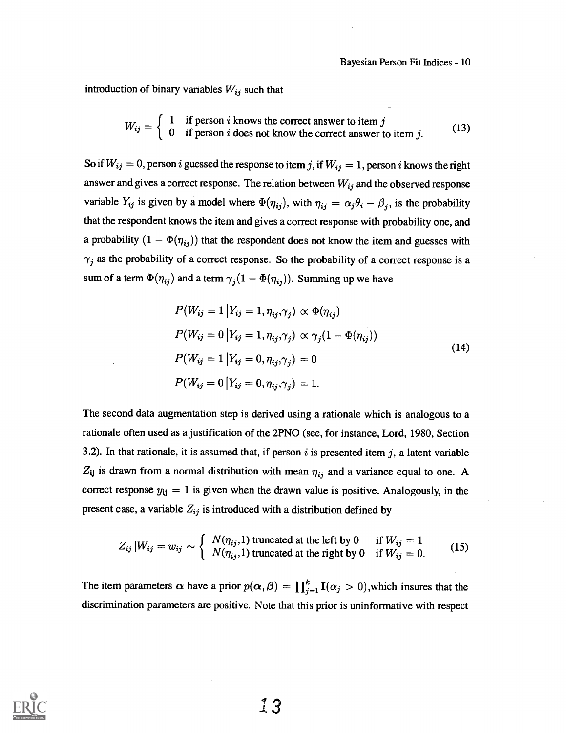introduction of binary variables  $W_{ij}$  such that

$$
W_{ij} = \begin{cases} 1 & \text{if person } i \text{ knows the correct answer to item } j \\ 0 & \text{if person } i \text{ does not know the correct answer to item } j. \end{cases}
$$
 (13)

So if  $W_{ij} = 0$ , person i guessed the response to item j, if  $W_{ij} = 1$ , person i knows the right answer and gives a correct response. The relation between  $W_{ij}$  and the observed response variable  $Y_{ij}$  is given by a model where  $\Phi(\eta_{ij})$ , with  $\eta_{ij} = \alpha_j \theta_i - \beta_j$ , is the probability that the respondent knows the item and gives a correct response with probability one, and a probability  $(1-\Phi(\eta_{ij}))$  that the respondent does not know the item and guesses with  $\gamma_j$  as the probability of a correct response. So the probability of a correct response is a sum of a term  $\Phi(\eta_{ij})$  and a term  $\gamma_j (1 - \Phi(\eta_{ij}))$ . Summing up we have

$$
P(W_{ij} = 1 | Y_{ij} = 1, \eta_{ij}, \gamma_j) \propto \Phi(\eta_{ij})
$$
  
\n
$$
P(W_{ij} = 0 | Y_{ij} = 1, \eta_{ij}, \gamma_j) \propto \gamma_j (1 - \Phi(\eta_{ij}))
$$
  
\n
$$
P(W_{ij} = 1 | Y_{ij} = 0, \eta_{ij}, \gamma_j) = 0
$$
  
\n
$$
P(W_{ij} = 0 | Y_{ij} = 0, \eta_{ij}, \gamma_j) = 1.
$$
\n(14)

The second data augmentation step is derived using a rationale which is analogous to a rationale often used as a justification of the 2PNO (see, for instance, Lord, 1980, Section 3.2). In that rationale, it is assumed that, if person i is presented item j, a latent variable  $Z_{ij}$  is drawn from a normal distribution with mean  $\eta_{ij}$  and a variance equal to one. A correct response  $y_{ij} = 1$  is given when the drawn value is positive. Analogously, in the present case, a variable  $Z_{ij}$  is introduced with a distribution defined by

$$
Z_{ij}|W_{ij} = w_{ij} \sim \begin{cases} N(\eta_{ij}, 1) \text{ truncated at the left by 0} & \text{if } W_{ij} = 1\\ N(\eta_{ij}, 1) \text{ truncated at the right by 0} & \text{if } W_{ij} = 0. \end{cases}
$$
 (15)

The item parameters  $\alpha$  have a prior  $p(\alpha, \beta) = \prod_{i=1}^{k} I(\alpha_i > 0)$ , which insures that the discrimination parameters are positive. Note that this prior is uninformative with respect

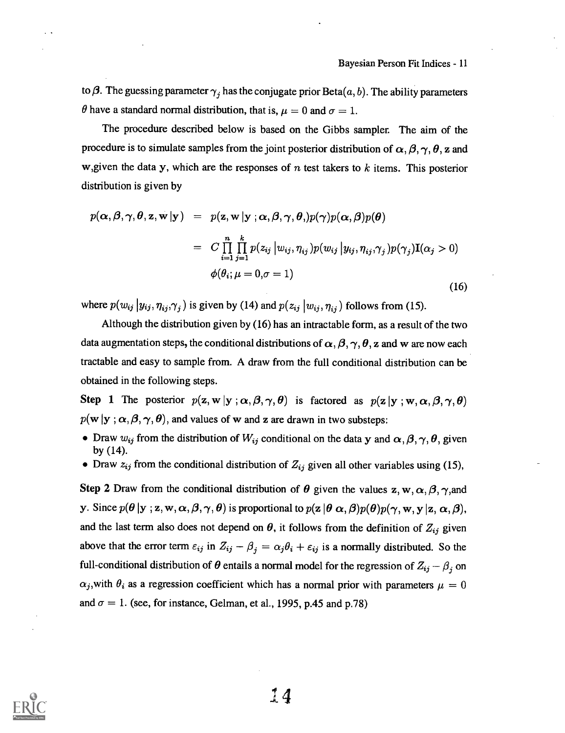to  $\beta$ . The guessing parameter  $\gamma_j$  has the conjugate prior Beta(a, b). The ability parameters  $\theta$  have a standard normal distribution, that is,  $\mu = 0$  and  $\sigma = 1$ .

The procedure described below is based on the Gibbs sampler. The aim of the procedure is to simulate samples from the joint posterior distribution of  $\alpha$ ,  $\beta$ ,  $\gamma$ ,  $\theta$ , z and w, given the data y, which are the responses of  $n$  test takers to  $k$  items. This posterior distribution is given by

$$
p(\alpha, \beta, \gamma, \theta, \mathbf{z}, \mathbf{w} | \mathbf{y}) = p(\mathbf{z}, \mathbf{w} | \mathbf{y}; \alpha, \beta, \gamma, \theta) p(\gamma) p(\alpha, \beta) p(\theta)
$$
  

$$
= C \prod_{i=1}^{n} \prod_{j=1}^{k} p(z_{ij} | w_{ij}, \eta_{ij}) p(w_{ij} | y_{ij}, \eta_{ij}, \gamma_{j}) p(\gamma_{j}) \mathbf{I}(\alpha_{j} > 0)
$$
  

$$
\phi(\theta_{i}; \mu = 0, \sigma = 1)
$$
 (16)

where  $p(w_{ij} | y_{ij}, \eta_{ij}, \gamma_j)$  is given by (14) and  $p(z_{ij} | w_{ij}, \eta_{ij})$  follows from (15).

Although the distribution given by (16) has an intractable form, as a result of the two data augmentation steps, the conditional distributions of  $\alpha$ ,  $\beta$ ,  $\gamma$ ,  $\theta$ , z and w are now each tractable and easy to sample from. A draw from the full conditional distribution can be obtained in the following steps.

Step 1 The posterior  $p(\mathbf{z}, \mathbf{w} | \mathbf{y} ; \alpha, \beta, \gamma, \theta)$  is factored as  $p(\mathbf{z} | \mathbf{y} ; \mathbf{w}, \alpha, \beta, \gamma, \theta)$  $p(\mathbf{w} | \mathbf{y} ; \alpha, \beta, \gamma, \theta)$ , and values of w and z are drawn in two substeps:

- Draw  $w_{ij}$  from the distribution of  $W_{ij}$  conditional on the data y and  $\alpha, \beta, \gamma, \theta$ , given by (14).
- Draw  $z_{ij}$  from the conditional distribution of  $Z_{ij}$  given all other variables using (15),

Step 2 Draw from the conditional distribution of  $\theta$  given the values  $z, w, \alpha, \beta, \gamma$ , and y. Since  $p(\theta | y; z, w, \alpha, \beta, \gamma, \theta)$  is proportional to  $p(z | \theta \alpha, \beta)p(\theta)p(\gamma, w, y | z, \alpha, \beta)$ , and the last term also does not depend on  $\theta$ , it follows from the definition of  $Z_{ij}$  given above that the error term  $\varepsilon_{ij}$  in  $Z_{ij} - \beta_j = \alpha_j \theta_i + \varepsilon_{ij}$  is a normally distributed. So the full-conditional distribution of  $\theta$  entails a normal model for the regression of  $Z_{ij} - \beta_j$  on  $\alpha_j$ , with  $\theta_i$  as a regression coefficient which has a normal prior with parameters  $\mu = 0$ and  $\sigma = 1$ . (see, for instance, Gelman, et al., 1995, p.45 and p.78)

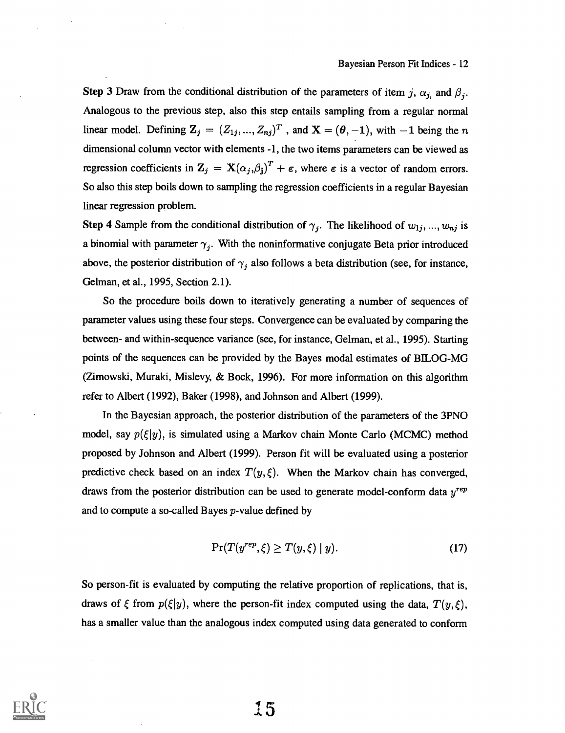Step 3 Draw from the conditional distribution of the parameters of item j,  $\alpha_{j}$ , and  $\beta_{j}$ . Analogous to the previous step, also this step entails sampling from a regular normal linear model. Defining  $\mathbf{Z}_j = (Z_{1j},..., Z_{nj})^T$ , and  $\mathbf{X} = (\theta, -1)$ , with  $-1$  being the n dimensional column vector with elements -1, the two items parameters can be viewed as regression coefficients in  $\mathbf{Z}_j = \mathbf{X}(\alpha_j, \beta_j)^T + \epsilon$ , where  $\epsilon$  is a vector of random errors. So also this step boils down to sampling the regression coefficients in a regular Bayesian linear regression problem.

Step 4 Sample from the conditional distribution of  $\gamma_i$ . The likelihood of  $w_{1i}, ..., w_{nj}$  is a binomial with parameter  $\gamma_i$ . With the noninformative conjugate Beta prior introduced above, the posterior distribution of  $\gamma_j$  also follows a beta distribution (see, for instance, Gelman, et al., 1995, Section 2.1).

So the procedure boils down to iteratively generating a number of sequences of parameter values using these four steps. Convergence can be evaluated by comparing the between- and within-sequence variance (see, for instance, Gelman, et al., 1995). Starting points of the sequences can be provided by the Bayes modal estimates of BILOG-MG (Zimowski, Muraki, Mislevy, & Bock, 1996). For more information on this algorithm refer to Albert (1992), Baker (1998), and Johnson and Albert (1999).

In the Bayesian approach, the posterior distribution of the parameters of the 3PNO model, say  $p(\xi|y)$ , is simulated using a Markov chain Monte Carlo (MCMC) method proposed by Johnson and Albert (1999). Person fit will be evaluated using a posterior predictive check based on an index  $T(y, \xi)$ . When the Markov chain has converged, draws from the posterior distribution can be used to generate model-conform data  $y^{rep}$ and to compute a so-called Bayes p-value defined by

$$
\Pr(T(y^{rep}, \xi) \ge T(y, \xi) \mid y). \tag{17}
$$

So person-fit is evaluated by computing the relative proportion of replications, that is, draws of  $\xi$  from  $p(\xi|y)$ , where the person-fit index computed using the data,  $T(y,\xi)$ , has a smaller value than the analogous index computed using data generated to conform

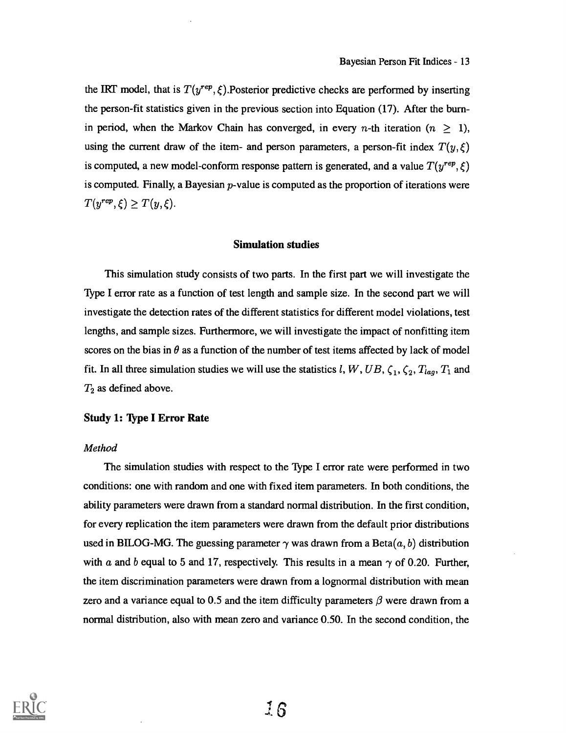the IRT model, that is  $T(y^{rep}, \xi)$ . Posterior predictive checks are performed by inserting the person-fit statistics given in the previous section into Equation (17). After the burnin period, when the Markov Chain has converged, in every *n*-th iteration ( $n \geq 1$ ), using the current draw of the item- and person parameters, a person-fit index  $T(y, \xi)$ is computed, a new model-conform response pattern is generated, and a value  $T(y^{rep}, \xi)$ is computed. Finally, a Bayesian  $p$ -value is computed as the proportion of iterations were  $T(y^{rep}, \xi) \geq T(y, \xi).$ 

#### Simulation studies

This simulation study consists of two parts. In the first part we will investigate the Type I error rate as a function of test length and sample size. In the second part we will investigate the detection rates of the different statistics for different model violations, test lengths, and sample sizes. Furthermore, we will investigate the impact of nonfitting item scores on the bias in  $\theta$  as a function of the number of test items affected by lack of model fit. In all three simulation studies we will use the statistics l, W, UB,  $\zeta_1, \zeta_2, T_{lag}, T_1$  and  $T_2$  as defined above.

#### Study 1: Type I Error Rate

#### Method

The simulation studies with respect to the Type I error rate were performed in two conditions: one with random and one with fixed item parameters. In both conditions, the ability parameters were drawn from a standard normal distribution. In the first condition, for every replication the item parameters were drawn from the default prior distributions used in BILOG-MG. The guessing parameter  $\gamma$  was drawn from a Beta $(a, b)$  distribution with a and b equal to 5 and 17, respectively. This results in a mean  $\gamma$  of 0.20. Further, the item discrimination parameters were drawn from a lognormal distribution with mean zero and a variance equal to 0.5 and the item difficulty parameters  $\beta$  were drawn from a normal distribution, also with mean zero and variance 0.50. In the second condition, the



 $\frac{1}{2}6$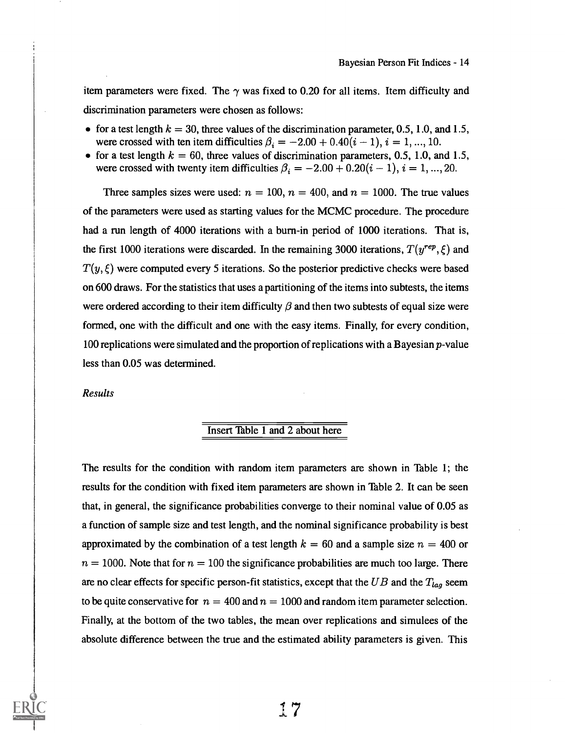item parameters were fixed. The  $\gamma$  was fixed to 0.20 for all items. Item difficulty and discrimination parameters were chosen as follows:

- for a test length  $k = 30$ , three values of the discrimination parameter, 0.5, 1.0, and 1.5, were crossed with ten item difficulties  $\beta_i = -2.00 + 0.40(i - 1), i = 1, ..., 10$ .
- for a test length  $k = 60$ , three values of discrimination parameters, 0.5, 1.0, and 1.5, were crossed with twenty item difficulties  $\beta_i = -2.00 + 0.20(i - 1), i = 1, ..., 20$ .

Three samples sizes were used:  $n = 100$ ,  $n = 400$ , and  $n = 1000$ . The true values of the parameters were used as starting values for the MCMC procedure. The procedure had a run length of 4000 iterations with a burn-in period of 1000 iterations. That is, the first 1000 iterations were discarded. In the remaining 3000 iterations,  $T(y^{rep}, \xi)$  and  $T(y, \xi)$  were computed every 5 iterations. So the posterior predictive checks were based on 600 draws. For the statistics that uses a partitioning of the items into subtests, the items were ordered according to their item difficulty  $\beta$  and then two subtests of equal size were formed, one with the difficult and one with the easy items. Finally, for every condition, 100 replications were simulated and the proportion of replications with a Bayesian p-value less than 0.05 was determined.

#### Results

### Insert Table 1 and 2 about here

The results for the condition with random item parameters are shown in Table 1; the results for the condition with fixed item parameters are shown in Table 2. It can be seen that, in general, the significance probabilities converge to their nominal value of 0.05 as a function of sample size and test length, and the nominal significance probability is best approximated by the combination of a test length  $k = 60$  and a sample size  $n = 400$  or  $n = 1000$ . Note that for  $n = 100$  the significance probabilities are much too large. There are no clear effects for specific person-fit statistics, except that the  $UB$  and the  $T_{lag}$  seem to be quite conservative for  $n = 400$  and  $n = 1000$  and random item parameter selection. Finally, at the bottom of the two tables, the mean over replications and simulees of the absolute difference between the true and the estimated ability parameters is given. This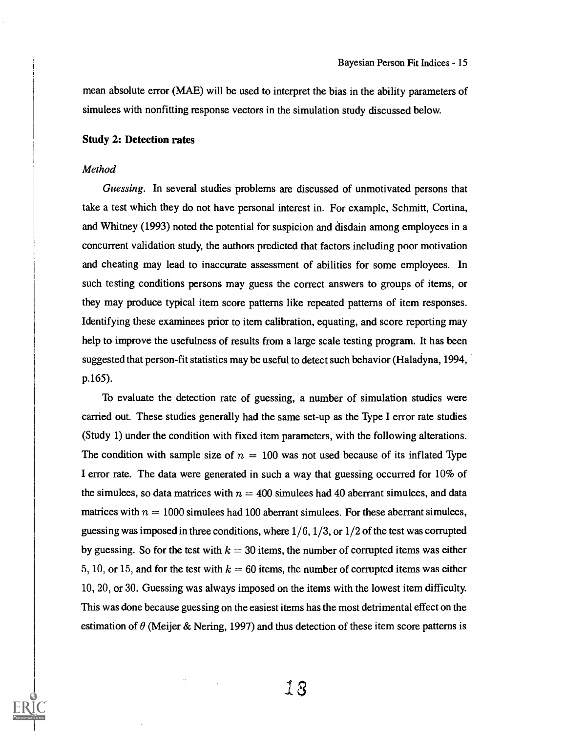mean absolute error (MAE) will be used to interpret the bias in the ability parameters of simulees with nonfitting response vectors in the simulation study discussed below.

#### Study 2: Detection rates

#### Method

Guessing. In several studies problems are discussed of unmotivated persons that take a test which they do not have personal interest in. For example, Schmitt, Cortina, and Whitney (1993) noted the potential for suspicion and disdain among employees in a concurrent validation study, the authors predicted that factors including poor motivation and cheating may lead to inaccurate assessment of abilities for some employees. In such testing conditions persons may guess the correct answers to groups of items, or they may produce typical item score patterns like repeated patterns of item responses. Identifying these examinees prior to item calibration, equating, and score reporting may help to improve the usefulness of results from a large scale testing program. It has been suggested that person-fit statistics may be useful to detect such behavior (Haladyna, 1994, p.165).

To evaluate the detection rate of guessing, a number of simulation studies were carried out. These studies generally had the same set-up as the Type I error rate studies (Study 1) under the condition with fixed item parameters, with the following alterations. The condition with sample size of  $n = 100$  was not used because of its inflated Type I error rate. The data were generated in such a way that guessing occurred for 10% of the simulees, so data matrices with  $n = 400$  simulees had 40 aberrant simulees, and data matrices with  $n = 1000$  simulees had 100 aberrant simulees. For these aberrant simulees, guessing was imposed in three conditions, where  $1/6$ ,  $1/3$ , or  $1/2$  of the test was corrupted by guessing. So for the test with  $k = 30$  items, the number of corrupted items was either 5, 10, or 15, and for the test with  $k = 60$  items, the number of corrupted items was either 10, 20, or 30. Guessing was always imposed on the items with the lowest item difficulty. This was done because guessing on the easiest items has the most detrimental effect on the estimation of  $\theta$  (Meijer & Nering, 1997) and thus detection of these item score patterns is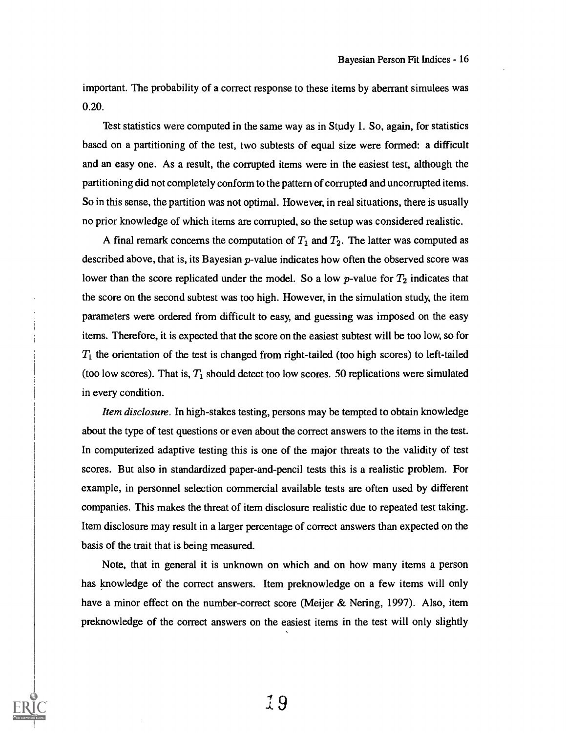important. The probability of a correct response to these items by aberrant simulees was 0.20.

Test statistics were computed in the same way as in Study 1. So, again, for statistics based on a partitioning of the test, two subtests of equal size were formed: a difficult and an easy one. As a result, the corrupted items were in the easiest test, although the partitioning did not completely conform to the pattern of corrupted and uncorrupted items. So in this sense, the partition was not optimal. However, in real situations, there is usually no prior knowledge of which items are corrupted, so the setup was considered realistic.

A final remark concerns the computation of  $T_1$  and  $T_2$ . The latter was computed as described above, that is, its Bayesian  $p$ -value indicates how often the observed score was lower than the score replicated under the model. So a low  $p$ -value for  $T_2$  indicates that the score on the second subtest was too high. However, in the simulation study, the item parameters were ordered from difficult to easy, and guessing was imposed on the easy items. Therefore, it is expected that the score on the easiest subtest will be too low, so for  $T_1$  the orientation of the test is changed from right-tailed (too high scores) to left-tailed (too low scores). That is,  $T_1$  should detect too low scores. 50 replications were simulated in every condition.

Item disclosure. In high-stakes testing, persons may be tempted to obtain knowledge about the type of test questions or even about the correct answers to the items in the test. In computerized adaptive testing this is one of the major threats to the validity of test scores. But also in standardized paper-and-pencil tests this is a realistic problem. For example, in personnel selection commercial available tests are often used by different companies. This makes the threat of item disclosure realistic due to repeated test taking. Item disclosure may result in a larger percentage of correct answers than expected on the basis of the trait that is being measured.

Note, that in general it is unknown on which and on how many items a person has knowledge of the correct answers. Item preknowledge on a few items will only have a minor effect on the number-correct score (Meijer & Nering, 1997). Also, item preknowledge of the correct answers on the easiest items in the test will only slightly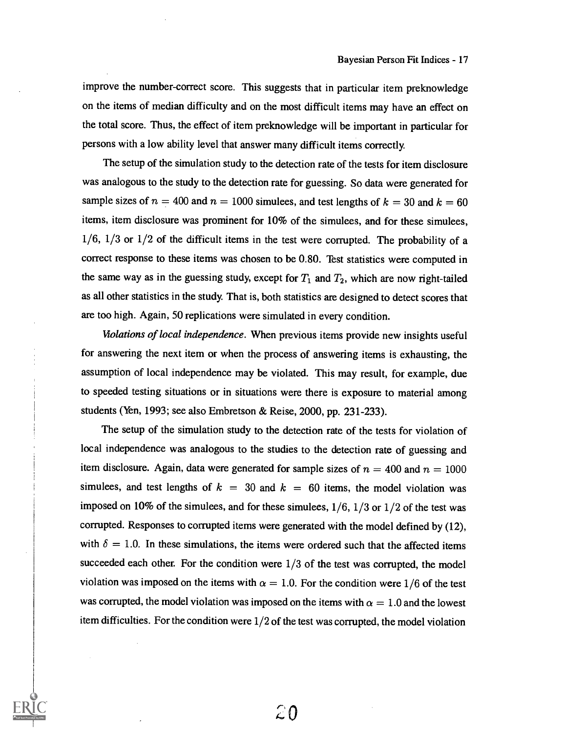improve the number-correct score. This suggests that in particular item preknowledge on the items of median difficulty and on the most difficult items may have an effect on the total score. Thus, the effect of item preknowledge will be important in particular for persons with a low ability level that answer many difficult items correctly.

The setup of the simulation study to the detection rate of the tests for item disclosure was analogous to the study to the detection rate for guessing. So data were generated for sample sizes of  $n = 400$  and  $n = 1000$  simulees, and test lengths of  $k = 30$  and  $k = 60$ items, item disclosure was prominent for 10% of the simulees, and for these simulees,  $1/6$ ,  $1/3$  or  $1/2$  of the difficult items in the test were corrupted. The probability of a correct response to these items was chosen to be 0.80. Test statistics were computed in the same way as in the guessing study, except for  $T_1$  and  $T_2$ , which are now right-tailed as all other statistics in the study. That is, both statistics are designed to detect scores that are too high. Again, 50 replications were simulated in every condition.

Violations of local independence. When previous items provide new insights useful for answering the next item or when the process of answering items is exhausting, the assumption of local independence may be violated. This may result, for example, due to speeded testing situations or in situations were there is exposure to material among students (Yen, 1993; see also Embretson & Reise, 2000, pp. 231-233).

The setup of the simulation study to the detection rate of the tests for violation of local independence was analogous to the studies to the detection rate of guessing and item disclosure. Again, data were generated for sample sizes of  $n = 400$  and  $n = 1000$ simulees, and test lengths of  $k = 30$  and  $k = 60$  items, the model violation was imposed on 10% of the simulees, and for these simulees,  $1/6$ ,  $1/3$  or  $1/2$  of the test was corrupted. Responses to corrupted items were generated with the model defined by (12), with  $\delta = 1.0$ . In these simulations, the items were ordered such that the affected items succeeded each other. For the condition were 1/3 of the test was corrupted, the model violation was imposed on the items with  $\alpha = 1.0$ . For the condition were 1/6 of the test was corrupted, the model violation was imposed on the items with  $\alpha = 1.0$  and the lowest item difficulties. For the condition were 1/2 of the test was corrupted, the model violation

 $\angle \cap$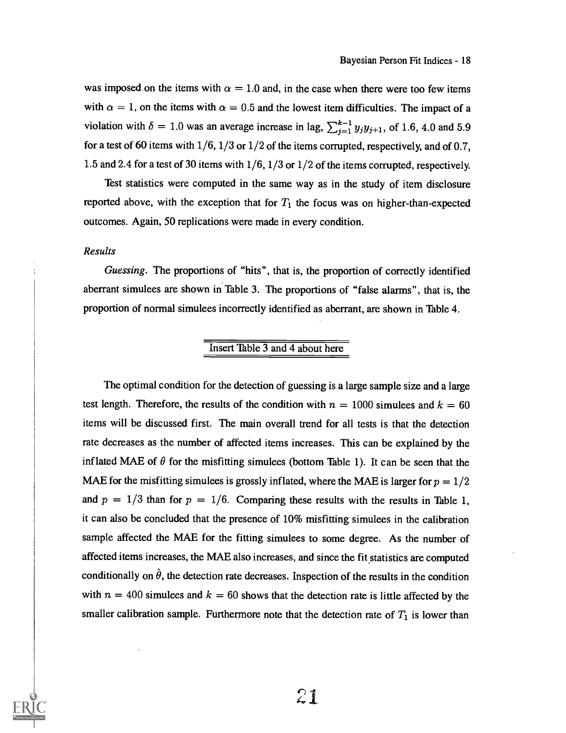was imposed on the items with  $\alpha = 1.0$  and, in the case when there were too few items with  $\alpha = 1$ , on the items with  $\alpha = 0.5$  and the lowest item difficulties. The impact of a violation with  $\delta = 1.0$  was an average increase in lag,  $\sum_{j=1}^{k-1} y_j y_{j+1}$ , of 1.6, 4.0 and 5.9 for a test of 60 items with  $1/6$ ,  $1/3$  or  $1/2$  of the items corrupted, respectively, and of 0.7, 1.5 and 2.4 for a test of 30 items with  $1/6$ ,  $1/3$  or  $1/2$  of the items corrupted, respectively.

Test statistics were computed in the same way as in the study of item disclosure reported above, with the exception that for  $T_1$  the focus was on higher-than-expected outcomes. Again, 50 replications were made in every condition.

#### Results

Guessing. The proportions of "hits", that is, the proportion of correctly identified aberrant simulees are shown in Table 3. The proportions of "false alarms", that is, the proportion of normal simulees incorrectly identified as aberrant, are shown in Table 4.

### Insert Table 3 and 4 about here

The optimal condition for the detection of guessing is a large sample size and a large test length. Therefore, the results of the condition with  $n = 1000$  simulees and  $k = 60$ items will be discussed first. The main overall trend for all tests is that the detection rate decreases as the number of affected items increases. This can be explained by the inflated MAE of  $\theta$  for the misfitting simulees (bottom Table 1). It can be seen that the MAE for the misfitting simulees is grossly inflated, where the MAE is larger for  $p = 1/2$ and  $p = 1/3$  than for  $p = 1/6$ . Comparing these results with the results in Table 1, it can also be concluded that the presence of 10% misfitting simulees in the calibration sample affected the MAE for the fitting simulees to some degree. As the number of affected items increases, the MAE also increases, and since the fit statistics are computed conditionally on  $\hat{\theta}$ , the detection rate decreases. Inspection of the results in the condition with  $n = 400$  simulees and  $k = 60$  shows that the detection rate is little affected by the smaller calibration sample. Furthermore note that the detection rate of  $T_1$  is lower than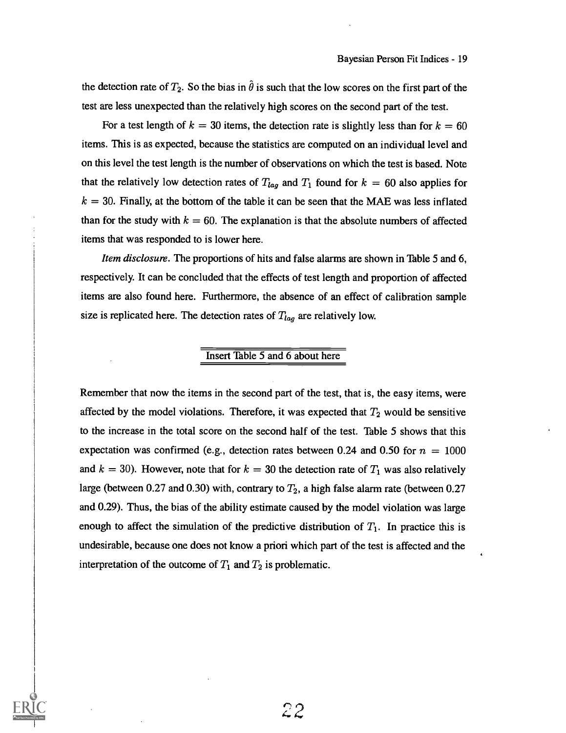the detection rate of  $T_2$ . So the bias in  $\hat{\theta}$  is such that the low scores on the first part of the test are less unexpected than the relatively high scores on the second part of the test.

For a test length of  $k = 30$  items, the detection rate is slightly less than for  $k = 60$ items. This is as expected, because the statistics are computed on an individual level and on this level the test length is the number of observations on which the test is based. Note that the relatively low detection rates of  $T_{lag}$  and  $T_1$  found for  $k = 60$  also applies for  $k = 30$ . Finally, at the bottom of the table it can be seen that the MAE was less inflated than for the study with  $k = 60$ . The explanation is that the absolute numbers of affected items that was responded to is lower here.

Item disclosure. The proportions of hits and false alarms are shown in Table 5 and 6, respectively. It can be concluded that the effects of test length and proportion of affected items are also found here. Furthermore, the absence of an effect of calibration sample size is replicated here. The detection rates of  $T_{lag}$  are relatively low.

### Insert Table 5 and 6 about here

Remember that now the items in the second part of the test, that is, the easy items, were affected by the model violations. Therefore, it was expected that  $T_2$  would be sensitive to the increase in the total score on the second half of the test. Table 5 shows that this expectation was confirmed (e.g., detection rates between 0.24 and 0.50 for  $n = 1000$ and  $k = 30$ ). However, note that for  $k = 30$  the detection rate of  $T_1$  was also relatively large (between 0.27 and 0.30) with, contrary to  $T_2$ , a high false alarm rate (between 0.27 and 0.29). Thus, the bias of the ability estimate caused by the model violation was large enough to affect the simulation of the predictive distribution of  $T_1$ . In practice this is undesirable, because one does not know a priori which part of the test is affected and the interpretation of the outcome of  $T_1$  and  $T_2$  is problematic.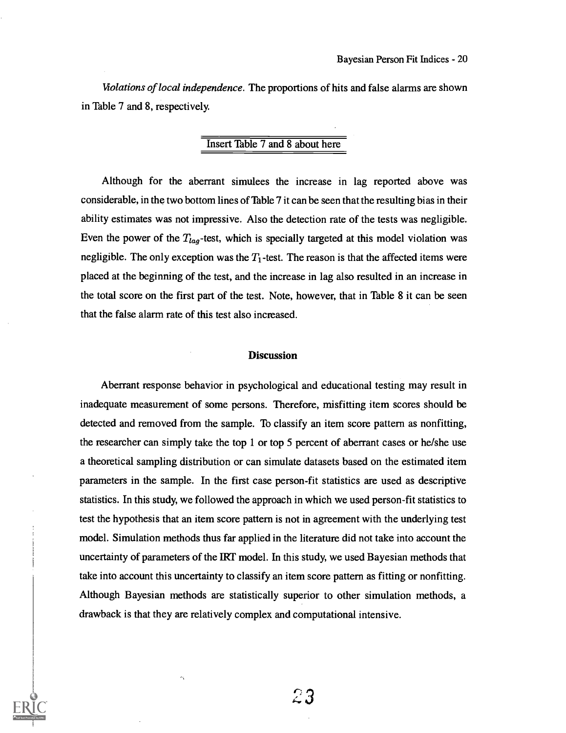Wolations of local independence. The proportions of hits and false alarms are shown in Table 7 and 8, respectively.

## Insert Table 7 and 8 about here

Although for the aberrant simulees the increase in lag reported above was considerable, in the two bottom lines of Table 7 it can be seen that the resulting bias in their ability estimates was not impressive. Also the detection rate of the tests was negligible. Even the power of the  $T_{lag}$ -test, which is specially targeted at this model violation was negligible. The only exception was the  $T_1$ -test. The reason is that the affected items were placed at the beginning of the test, and the increase in lag also resulted in an increase in the total score on the first part of the test. Note, however, that in Table 8 it can be seen that the false alarm rate of this test also increased.

#### **Discussion**

Aberrant response behavior in psychological and educational testing may result in inadequate measurement of some persons. Therefore, misfitting item scores should be detected and removed from the sample. To classify an item score pattern as nonfitting, the researcher can simply take the top 1 or top 5 percent of aberrant cases or he/she use a theoretical sampling distribution or can simulate datasets based on the estimated item parameters in the sample. In the first case person-fit statistics are used as descriptive statistics. In this study, we followed the approach in which we used person-fit statistics to test the hypothesis that an item score pattern is not in agreement with the underlying test model. Simulation methods thus far applied in the literature did not take into account the uncertainty of parameters of the IRT model. In this study, we used Bayesian methods that take into account this uncertainty to classify an item score pattern as fitting or nonfitting. Although Bayesian methods are statistically superior to other simulation methods, a drawback is that they are relatively complex and computational intensive.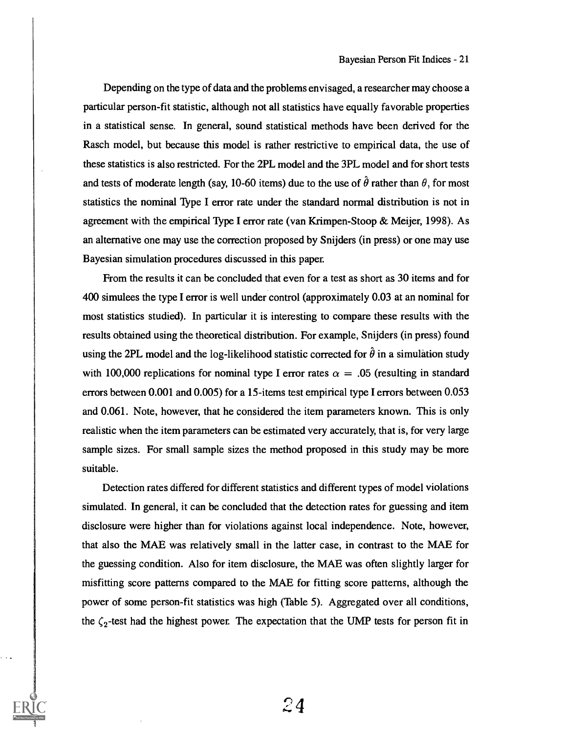Depending on the type of data and the problems envisaged, a researcher may choose a particular person-fit statistic, although not all statistics have equally favorable properties in a statistical sense. In general, sound statistical methods have been derived for the Rasch model, but because this model is rather restrictive to empirical data, the use of these statistics is also restricted. For the 2PL model and the 3PL model and for short tests and tests of moderate length (say, 10-60 items) due to the use of  $\hat{\theta}$  rather than  $\theta$ , for most statistics the nominal Type I error rate under the standard normal distribution is not in agreement with the empirical Type I error rate (van Krimpen-Stoop & Meijer, 1998). As an alternative one may use the correction proposed by Snijders (in press) or one may use Bayesian simulation procedures discussed in this paper.

From the results it can be concluded that even for a test as short as 30 items and for 400 simulees the type I error is well under control (approximately 0.03 at an nominal for most statistics studied). In particular it is interesting to compare these results with the results obtained using the theoretical distribution. For example, Snijders (in press) found using the 2PL model and the log-likelihood statistic corrected for  $\hat{\theta}$  in a simulation study with 100,000 replications for nominal type I error rates  $\alpha = 0.05$  (resulting in standard errors between 0.001 and 0.005) for a 15-items test empirical type I errors between 0.053 and 0.061. Note, however, that he considered the item parameters known. This is only realistic when the item parameters can be estimated very accurately, that is, for very large sample sizes. For small sample sizes the method proposed in this study may be more suitable.

Detection rates differed for different statistics and different types of model violations simulated. In general, it can be concluded that the detection rates for guessing and item disclosure were higher than for violations against local independence. Note, however, that also the MAE was relatively small in the latter case, in contrast to the MAE for the guessing condition. Also for item disclosure, the MAE was often slightly larger for misfitting score patterns compared to the MAE for fitting score patterns, although the power of some person-fit statistics was high (Table 5). Aggregated over all conditions, the  $\zeta_2$ -test had the highest power. The expectation that the UMP tests for person fit in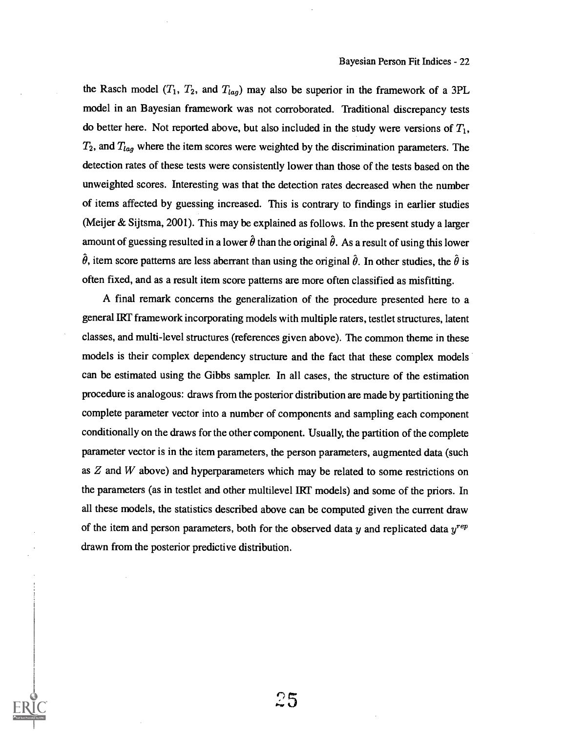the Rasch model  $(T_1, T_2,$  and  $T_{lag}$ ) may also be superior in the framework of a 3PL model in an Bayesian framework was not corroborated. Traditional discrepancy tests do better here. Not reported above, but also included in the study were versions of  $T_1$ ,  $T_2$ , and  $T_{lag}$  where the item scores were weighted by the discrimination parameters. The detection rates of these tests were consistently lower than those of the tests based on the unweighted scores. Interesting was that the detection rates decreased when the number of items affected by guessing increased. This is contrary to findings in earlier studies (Meijer & Sijtsma, 2001). This may be explained as follows. In the present study a larger amount of guessing resulted in a lower  $\hat{\theta}$  than the original  $\hat{\theta}$ . As a result of using this lower  $\hat{\theta}$ , item score patterns are less aberrant than using the original  $\hat{\theta}$ . In other studies, the  $\hat{\theta}$  is often fixed, and as a result item score patterns are more often classified as misfitting.

A final remark concerns the generalization of the procedure presented here to a general IRT framework incorporating models with multiple raters, testlet structures, latent classes, and multi-level structures (references given above). The common theme in these models is their complex dependency structure and the fact that these complex models can be estimated using the Gibbs sampler. In all cases, the structure of the estimation procedure is analogous: draws from the posterior distribution are made by partitioning the complete parameter vector into a number of components and sampling each component conditionally on the draws for the other component. Usually, the partition of the complete parameter vector is in the item parameters, the person parameters, augmented data (such as  $Z$  and  $W$  above) and hyperparameters which may be related to some restrictions on the parameters (as in testlet and other multilevel IRT models) and some of the priors. In all these models, the statistics described above can be computed given the current draw of the item and person parameters, both for the observed data y and replicated data  $y^{rep}$ drawn from the posterior predictive distribution.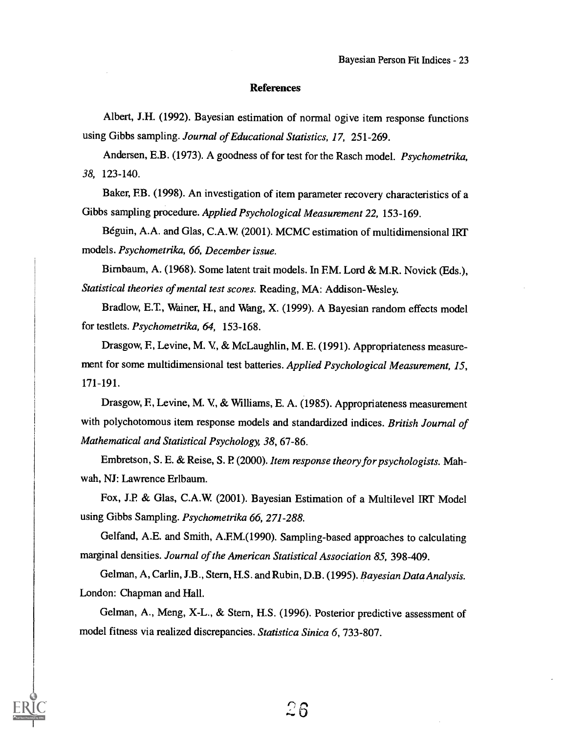#### References

Albert, J.H. (1992). Bayesian estimation of normal ogive item response functions using Gibbs sampling. Journal of Educational Statistics, 17, 251-269.

Andersen, E.B. (1973). A goodness of for test for the Rasch model. Psychometrika, 38, 123-140.

Baker, F.B. (1998). An investigation of item parameter recovery characteristics of a Gibbs sampling procedure. Applied Psychological Measurement 22, 153-169.

Beguin, A.A. and Glas, C.A.W. (2001). MCMC estimation of multidimensional IRT models. Psychometrika, 66, December issue.

Birnbaum, A. (1968). Some latent trait models. In F.M. Lord & M.R. Novick (Eds.), Statistical theories of mental test scores. Reading, MA: Addison-Wesley.

Bradlow, E.T., Wainer, H., and Wang, X. (1999). A Bayesian random effects model for testlets. Psychometrika, 64, 153-168.

Drasgow, F., Levine, M. V, & McLaughlin, M. E. (1991). Appropriateness measurement for some multidimensional test batteries. Applied Psychological Measurement, 15, 171-191.

Drasgow, F, Levine, M. V, & Williams, E. A. (1985). Appropriateness measurement with polychotomous item response models and standardized indices. British Journal of Mathematical and Statistical Psychology, 38, 67-86.

Embretson, S. E. & Reise, S. P (2000). Item response theory for psychologists. Mahwah, NJ: Lawrence Erlbaum.

Fox, J.P. & Glas, C.A.W. (2001). Bayesian Estimation of a Multilevel IRT Model using Gibbs Sampling. Psychometrika 66, 271-288.

Gelfand, A.E. and Smith, A.F.M.(1990). Sampling-based approaches to calculating marginal densities. Journal of the American Statistical Association 85, 398-409.

Gelman, A, Carlin, J.B., Stern, H.S. and Rubin, D.B. (1995). Bayesian Data Analysis. London: Chapman and Hall.

Gelman, A., Meng, X-L., & Stern, H.S. (1996). Posterior predictive assessment of model fitness via realized discrepancies. Statistica Sinica 6, 733-807.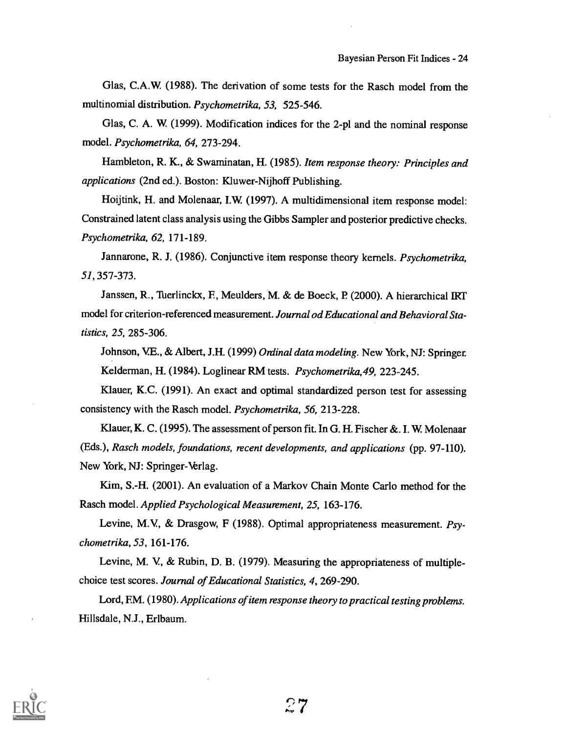Glas, C.A.W. (1988). The derivation of some tests for the Rasch model from the multinomial distribution. Psychometrika, 53, 525-546.

Glas, C. A. W. (1999). Modification indices for the 2-pl and the nominal response model. Psychometrika, 64, 273-294.

Hambleton, R. K., & Swaminatan, H. (1985). Item response theory: Principles and applications (2nd ed.). Boston: Kluwer-Nijhoff Publishing.

Hoijtink, H. and Molenaar, I.W. (1997). A multidimensional item response model: Constrained latent class analysis using the Gibbs Sampler and posterior predictive checks. Psychometrika, 62, 171-189.

Jannarone, R. J. (1986). Conjunctive item response theory kernels. Psychometrika, 51, 357-373.

Janssen, R., TUerlinckx, F., Meulders, M. & de Boeck, P (2000). A hierarchical IRT model for criterion-referenced measurement. Journal od Educational and Behavioral Statistics, 25, 285-306.

Johnson, V.E., & Albert, J.H. (1999) Ordinal data modeling. New York, NJ: Springer. Kelderman, H. (1984). Loglinear RM tests. Psychometrika, 49, 223-245.

Klauer, K.C. (1991). An exact and optimal standardized person test for assessing consistency with the Rasch model. Psychometrika, 56, 213-228.

Klauer, K. C. (1995). The assessment of person fit. In G. H. Fischer &. I. W. Molenaar (Eds.), Rasch models, foundations, recent developments, and applications (pp. 97-110). New York, NJ: Springer-Verlag.

Kim, S.-H. (2001). An evaluation of a Markov Chain Monte Carlo method for the Rasch model. Applied Psychological Measurement, 25, 163-176.

Levine, M.V., & Drasgow, F (1988). Optimal appropriateness measurement. Psychometrika, 53, 161-176.

Levine, M. V, & Rubin, D. B. (1979). Measuring the appropriateness of multiplechoice test scores. Journal of Educational Statistics, 4, 269-290.

Lord, F.M. (1980). Applications of item response theory to practical testing problems. Hillsdale, N.J., Erlbaum.

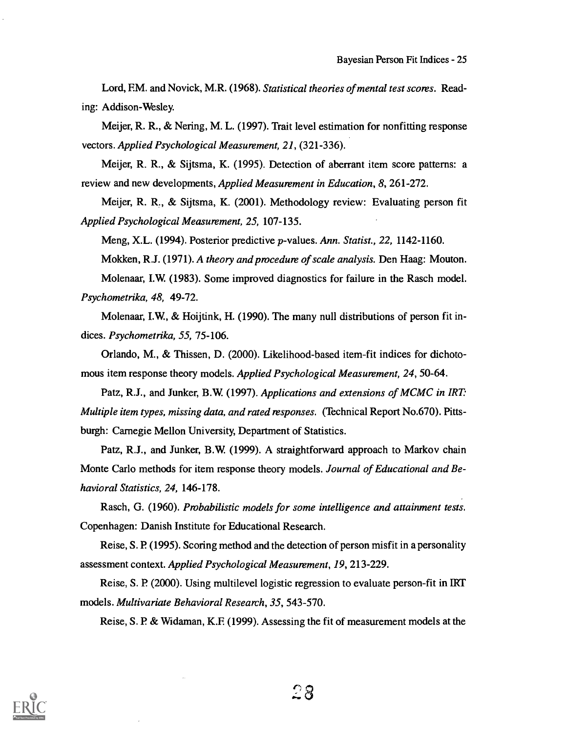Lord, F.M. and Novick, M.R. (1968). Statistical theories of mental test scores. Reading: Addison-Wesley.

Meijer, R. R., & Nering, M. L. (1997). Trait level estimation for nonfitting response vectors. Applied Psychological Measurement, 21, (321-336).

Meijer, R. R., & Sijtsma, K. (1995). Detection of aberrant item score patterns: a review and new developments, Applied Measurement in Education, 8, 261-272.

Meijer, R. R., & Sijtsma, K. (2001). Methodology review: Evaluating person fit Applied Psychological Measurement, 25, 107-135.

Meng, X.L. (1994). Posterior predictive p-values. Ann. Statist., 22, 1142-1160.

Mokken, R.J. (1971). A theory and procedure of scale analysis. Den Haag: Mouton.

Molenaar, I.W. (1983). Some improved diagnostics for failure in the Rasch model. Psychometrika, 48, 49-72.

Molenaar, I.W., & Hoijtink, H. (1990). The many null distributions of person fit indices. Psychometrika, 55, 75-106.

Orlando, M., & Thissen, D. (2000). Likelihood-based item-fit indices for dichotomous item response theory models. Applied Psychological Measurement, 24, 50-64.

Patz, R.J., and Junker, B.W. (1997). Applications and extensions of MCMC in IRT: Multiple item types, missing data, and rated responses. (Technical Report No.670). Pittsburgh: Carnegie Mellon University, Department of Statistics.

Patz, R.J., and Junker, B.W. (1999). A straightforward approach to Markov chain Monte Carlo methods for item response theory models. Journal of Educational and Behavioral Statistics, 24, 146-178.

Rasch, G. (1960). Probabilistic models for some intelligence and attainment tests. Copenhagen: Danish Institute for Educational Research.

Reise, S. P (1995). Scoring method and the detection of person misfit in a personality assessment context. Applied Psychological Measurement, 19, 213-229.

Reise, S. P (2000). Using multilevel logistic regression to evaluate person-fit in IRT models. Multivariate Behavioral Research, 35, 543-570.

Reise, S. P & Widaman, K.F. (1999). Assessing the fit of measurement models at the



 $2\,8$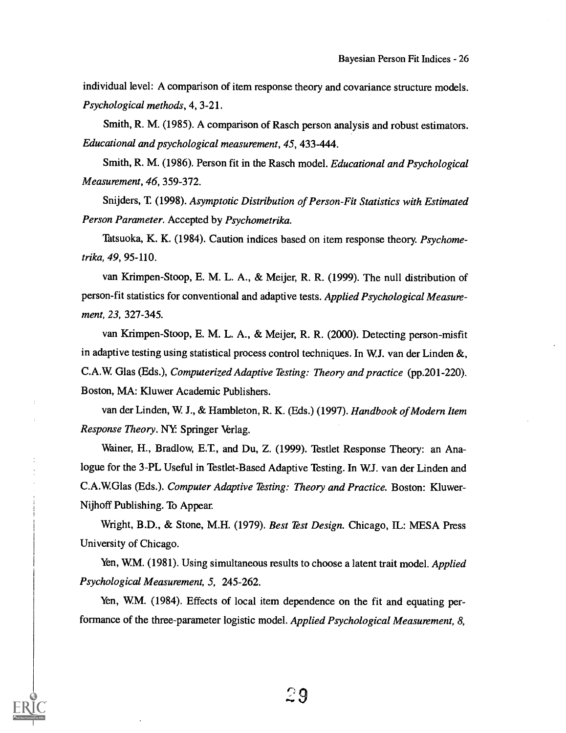individual level: A comparison of item response theory and covariance structure models. Psychological methods, 4, 3-21.

Smith, R. M. (1985). A comparison of Rasch person analysis and robust estimators. Educational and psychological measurement, 45, 433-444.

Smith, R. M. (1986). Person fit in the Rasch model. Educational and Psychological Measurement, 46, 359-372.

Snijders, T (1998). Asymptotic Distribution of Person-Fit Statistics with Estimated Person Parameter. Accepted by Psychometrika.

Tatsuoka, K. K. (1984). Caution indices based on item response theory. *Psychome*trika, 49, 95-110.

van Krimpen-Stoop, E. M. L. A., & Meijer, R. R. (1999). The null distribution of person-fit statistics for conventional and adaptive tests. Applied Psychological Measurement, 23, 327-345.

van Krimpen-Stoop, E. M. L. A., & Meijer, R. R. (2000). Detecting person-misfit in adaptive testing using statistical process control techniques. In W.J. van der Linden &, C.A.W. Glas (Eds.), Computerized Adaptive Testing: Theory and practice (pp.201-220). Boston, MA: Kluwer Academic Publishers.

van der Linden, W. J., & Hambleton, R. K. (Eds.) (1997). Handbook of Modern Item Response Theory. NY: Springer Verlag.

Wainer, H., Bradlow, E.T., and Du, Z. (1999). Testlet Response Theory: an Analogue for the 3-PL Useful in Testlet-Based Adaptive Testing. In W.J. van der Linden and C.A.W.Glas (Eds.). Computer Adaptive Testing: Theory and Practice. Boston: Kluwer-Nijhoff Publishing. To Appear.

Wright, B.D., & Stone, M.H. (1979). Best Test Design. Chicago, IL: MESA Press University of Chicago.

Yen, W.M. (1981). Using simultaneous results to choose a latent trait model. Applied Psychological Measurement, 5, 245-262.

Yen, W.M. (1984). Effects of local item dependence on the fit and equating performance of the three-parameter logistic model. Applied Psychological Measurement, 8,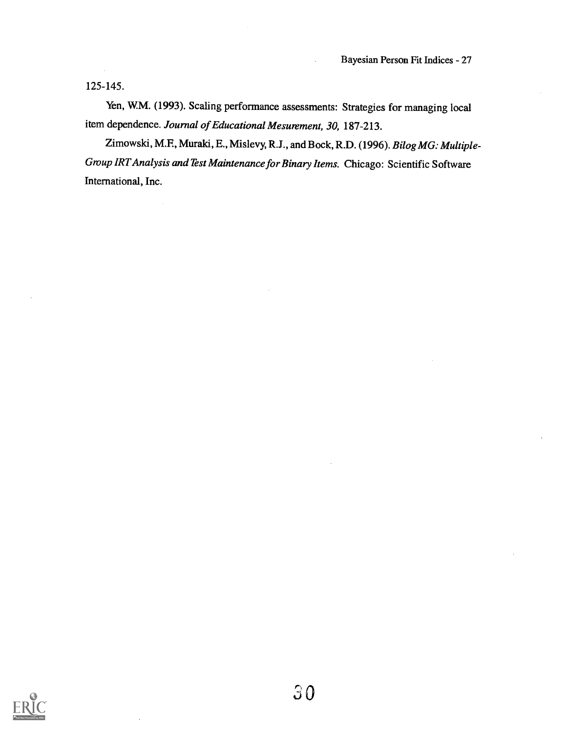Bayesian Person Fit Indices - 27

125-145.

Yen, W.M. (1993). Scaling performance assessments: Strategies for managing local item dependence. Journal of Educational Mesurement, 30, 187-213.

Zimowski, M.F., Muraki, E., Mislevy, R.J., and Bock, R.D. (1996). Bilog MG: Multiple-Group IRT Analysis and Test Maintenance for Binary Items. Chicago: Scientific Software International, Inc.

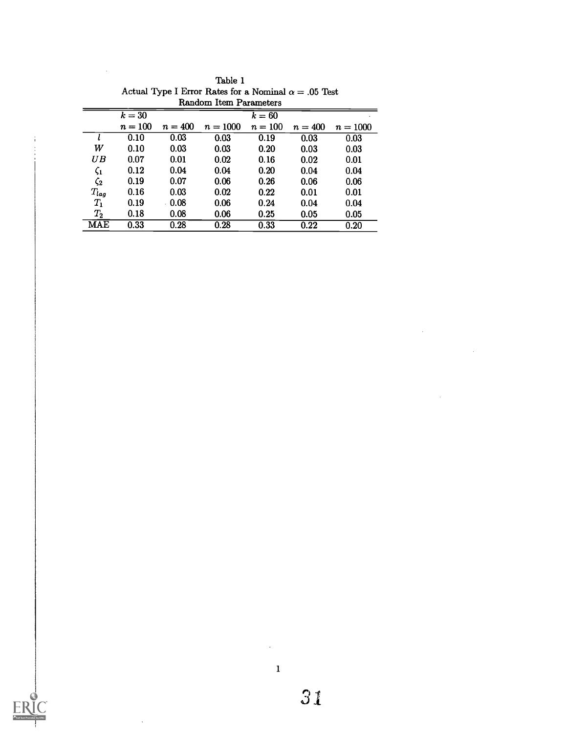|           |           |         | Random Item Parameters |         |         |          |
|-----------|-----------|---------|------------------------|---------|---------|----------|
|           | $k=30$    |         |                        | $k=60$  |         |          |
|           | $n = 100$ | $n=400$ | $n=1000$               | $n=100$ | $n=400$ | $n=1000$ |
|           | 0.10      | 0.03    | 0.03                   | 0.19    | 0.03    | 0.03     |
| W         | 0.10      | 0.03    | 0.03                   | 0.20    | 0.03    | 0.03     |
| UB        | 0.07      | 0.01    | 0.02                   | 0.16    | 0.02    | 0.01     |
| $\zeta_1$ | 0.12      | 0.04    | 0.04                   | 0.20    | 0.04    | 0.04     |
| $\zeta_2$ | 0.19      | 0.07    | 0.06                   | 0.26    | 0.06    | 0.06     |
| $T_{lag}$ | 0.16      | 0.03    | 0.02                   | 0.22    | 0.01    | 0.01     |
| $T_1$     | 0.19      | 0.08    | 0.06                   | 0.24    | 0.04    | 0.04     |
| $T_{2}$   | 0.18      | 0.08    | 0.06                   | 0.25    | 0.05    | 0.05     |
| MAE       | 0.33      | 0.28    | 0.28                   | 0.33    | 0.22    | 0.20     |

Table 1 Actual Type I Error Rates for a Nominal  $\alpha = .05$  Test

 $\bar{\beta}$ 

1

 $\ddot{\phantom{0}}$ 

 $\ddot{\phantom{1}}$ 

31

 $\bar{z}$ 

 $\bar{z}$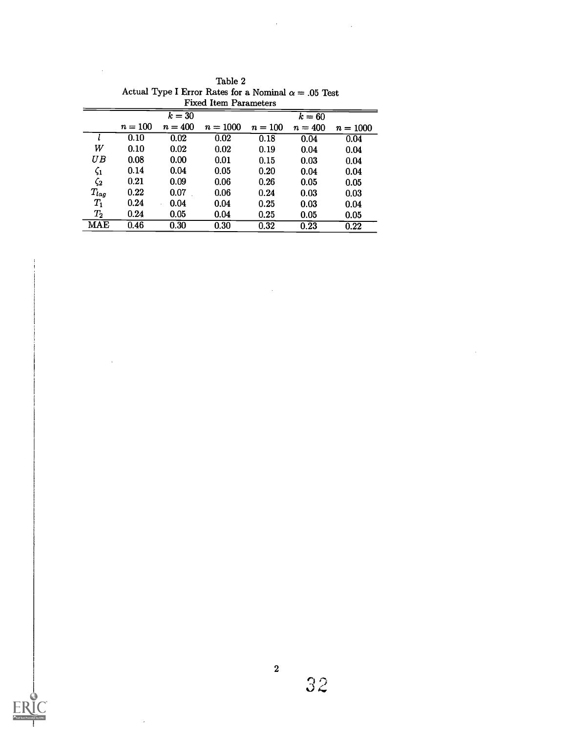|                    |         |         | <b>Fixed Item Parameters</b> |         |           |            |
|--------------------|---------|---------|------------------------------|---------|-----------|------------|
|                    |         | $k=30$  |                              |         | $k=60$    |            |
|                    | $n=100$ | $n=400$ | $n = 1000$                   | $n=100$ | $n = 400$ | $n = 1000$ |
|                    | 0.10    | 0.02    | 0.02                         | 0.18    | 0.04      | 0.04       |
| W                  | 0.10    | 0.02    | 0.02                         | 0.19    | 0.04      | 0.04       |
| UB                 | 0.08    | 0.00    | 0.01                         | 0.15    | 0.03      | 0.04       |
| $\zeta_1$          | 0.14    | 0.04    | 0.05                         | 0.20    | 0.04      | 0.04       |
| $\zeta_2$          | 0.21    | 0.09    | 0.06                         | 0.26    | 0.05      | 0.05       |
| $T_{lag}$          | 0.22    | 0.07    | 0.06                         | 0.24    | 0.03      | 0.03       |
| $\scriptstyle T_1$ | 0.24    | 0.04    | 0.04                         | 0.25    | 0.03      | 0.04       |
| $T_2$              | 0.24    | 0.05    | 0.04                         | 0.25    | 0.05      | 0.05       |
| <b>MAE</b>         | 0.46    | 0.30    | 0.30                         | 0.32    | 0.23      | 0.22       |

 $\sim$ 

Table 2 Actual Type I Error Rates for a Nominal  $\alpha = .05$  Test

 $\bar{z}$ 

 $\bar{z}$ 

 $\overline{\phantom{a}}$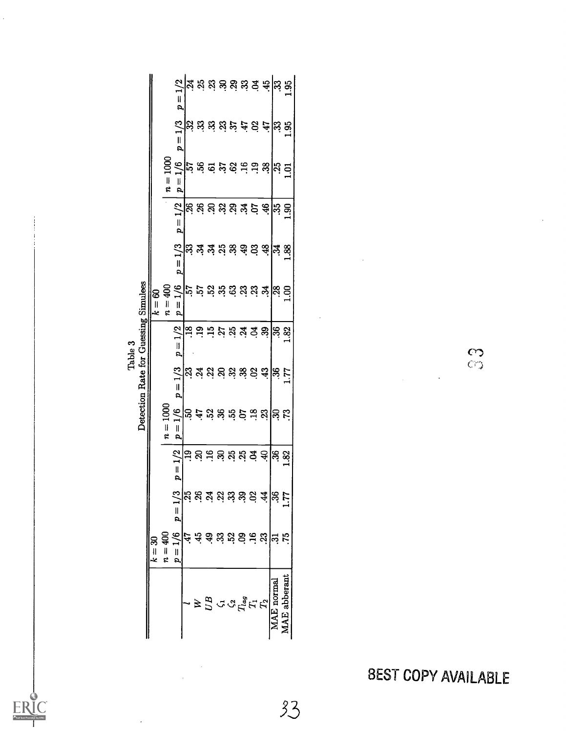|         |                                      |                     |                                 | $\frac{2}{2}$<br>$p =$           |               |  |                           |                 |              | <u> ಇ ಜ ಚ ಆ ಆ ಜ ಇ ಇ ಹ  ಜ</u> | 95             |  |
|---------|--------------------------------------|---------------------|---------------------------------|----------------------------------|---------------|--|---------------------------|-----------------|--------------|------------------------------|----------------|--|
|         |                                      |                     |                                 | $\frac{1}{3}$<br>$p =$           |               |  |                           |                 | 47           | သြ                           | 95             |  |
|         |                                      |                     | 1000<br>$\overline{n} =$        | 1/6<br>$\left\  {}\right\ $<br>đ | $\frac{2}{5}$ |  | ន្ទ្រី ខ្ញុំ ដូង          |                 | 38           | $\ddot{3}$                   | ថ្ម            |  |
|         |                                      |                     |                                 | 1/2<br>$\mathbf{p} =$            | ಜ್ಞ           |  | <b>នុ នុ នុ នុ ភូ ទុ</b>  |                 |              | ಜ್ಜಿ                         | <u>ခု</u>      |  |
|         |                                      |                     |                                 | $\frac{1}{3}$<br>$p =$           |               |  | ೫ ಸೆ ಸೆ <b>ಜಿ ೫ ಕೆ ವೆ</b> |                 | 48           | ररं                          | æ.             |  |
|         |                                      | 8<br>$\overline{k}$ | g<br>$\mathbf{I}$<br>t,         | 1/6<br>II<br>đ                   |               |  | <b>្អប់ ដូ</b> ង ទូ នូ ន  | 23              | ॐ            | $\frac{8}{3}$                | oo.            |  |
| Table 3 | Detection Rate for Guessing Simulees |                     |                                 | 1/2<br>$p =$                     |               |  | <b>Babbaga</b>            |                 | $\mathbf{g}$ | $\frac{36}{5}$               | 33.            |  |
|         |                                      |                     |                                 | 1/3<br>$\mathbf{p}$              |               |  | <u>នុ ។ នុ ម ម ង</u>      | $\mathbf{S}$    | 43           | ್ರೆ                          | 17.1           |  |
|         |                                      |                     | 1000<br>$\boldsymbol{n} =$      | 1/6<br>II<br>Þ,                  | င္က           |  | <b>a</b> g g g g          | $\overline{18}$ | $\mathbf{z}$ | ಜ                            | E.             |  |
|         |                                      |                     |                                 | 1/2<br>$\mathbf{p} =$            | $\ddot{5}$    |  | 898888                    |                 | $\ddot{=}$   | æ.                           | $\frac{82}{5}$ |  |
|         |                                      |                     |                                 | $\mathbf{p} =$                   |               |  | $\Xi$  ಸೆ ಜೆ ಇೆ ಚ ಜೆ ಜೆ ಇ |                 |              | နိ                           | 77             |  |
|         |                                      | $k=30$              | <u>ទី</u><br>$\boldsymbol{n} =$ | 1/6<br>$\overline{p}$            |               |  | 5 5 5 5 5 5 5 5 5         |                 |              | ವ                            | 57             |  |
|         |                                      |                     |                                 |                                  |               |  | <b>B</b> G G gara         |                 |              | <b>MAE</b> normal            | MAE abberant   |  |

 $\hat{\mathcal{L}}$ 

by ERIC

 $\ddot{\phantom{0}}$ 

**BEST COPY AVAILABLE** 

# $\frac{1}{\sqrt{2}}$

 $\sim$   $\sim$ 

 $33$ 

 $\hat{\mathcal{A}}$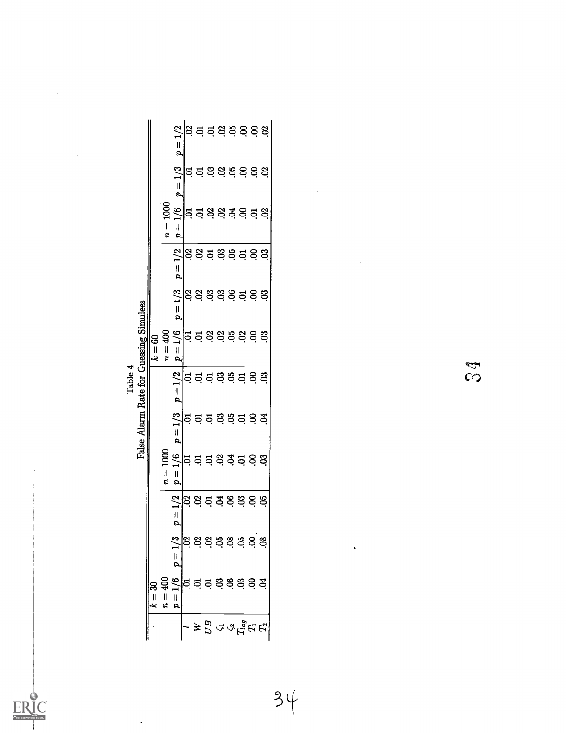|         |                                        |                   |                                   | $p =$                                 |                |   |     |        |            | <u>aka sa sa sa</u> |              |  |
|---------|----------------------------------------|-------------------|-----------------------------------|---------------------------------------|----------------|---|-----|--------|------------|---------------------|--------------|--|
|         |                                        |                   |                                   | $\frac{1}{3}$<br>$p =$                | ē              | 5 |     | 385    |            | 88                  | $\infty$     |  |
|         |                                        |                   | 1000<br>$\overline{n} =$          | $\mathbf{\mathbf{H}}$<br>$\mathbf{a}$ |                |   |     |        |            | 일등 등 용 용 혹 용 등      | ၓ            |  |
|         |                                        |                   |                                   | 1/2<br>$p =$                          |                |   |     |        |            | 8858858             | පි           |  |
|         |                                        |                   |                                   | $\frac{1}{3}$<br>$\overline{p}$       | S.             |   |     | 88885  |            | $\mathbf{g}$        | 3            |  |
|         |                                        | ළ<br>اا<br>پيد    | 400<br>$\parallel$<br>έ           | $\mathbf{I}$<br>$\mathbf{a}$          |                |   |     |        |            |                     | $\mathbf{3}$ |  |
| Table 4 | False Alarm Rate for Guessing Simulees |                   |                                   | 1/2<br>$p =$                          | ē              |   |     | 55885  |            | 83                  |              |  |
|         |                                        |                   |                                   | $\frac{1}{3}$<br>$p =$                | $\overline{5}$ |   | ಕ ಕ |        | ಇ ಕ್ರಿ ಕ್ರ | 8                   | $\mathbf{z}$ |  |
|         |                                        |                   | <b>BOI</b><br>$\mathfrak h$<br>t, | 1/6<br>$\mathbf l$<br>$\mathbf{a}$    |                |   |     | ほうさききさ |            | $\mathbf{S}$        | 3            |  |
|         |                                        |                   |                                   | 1/2<br>$p =$                          |                |   |     | 885388 |            | $\mathbf{g}$        | පි           |  |
|         |                                        |                   |                                   | S.<br>$p=1/$                          |                |   |     |        |            | 3 3 3 3 3 3 3 3     |              |  |
|         |                                        | g<br>$\mathbf{I}$ | $\parallel$<br>t,                 | 1/6<br>$p =$                          |                |   |     |        |            |                     |              |  |
|         |                                        |                   |                                   |                                       |                |   |     |        |            |                     |              |  |

 $\mathcal{L}_{\mathcal{A}}$ 

 $\label{eq:2.1} \frac{1}{\sqrt{2}}\int_{\mathbb{R}^3}\frac{1}{\sqrt{2}}\left(\frac{1}{\sqrt{2}}\right)^2\frac{1}{\sqrt{2}}\left(\frac{1}{\sqrt{2}}\right)^2\frac{1}{\sqrt{2}}\left(\frac{1}{\sqrt{2}}\right)^2.$ 

 $\mathcal{L}^{\text{max}}_{\text{max}}$  and  $\mathcal{L}^{\text{max}}_{\text{max}}$ 

 $\mathop{\mathrm{ERIC}}_{\overbrace{\mathop{\mathsf{Aut}}\nolimits_{\mathop{\mathrm{Bot}}\nolimits\mathop{\mathrm{Bot}}\nolimits_{\mathop{\mathrm{Bot}}\nolimits}}^{0}}$ 

 $\ddot{\phantom{0}}$ 

 $\sum_{i=1}^{n}$ 

 $\mathbb{R}^2$ 

 $\mathcal{L}^{\text{max}}_{\text{max}}$ 

 $\ddot{\phantom{1}}$ 

 $\frac{1}{2}$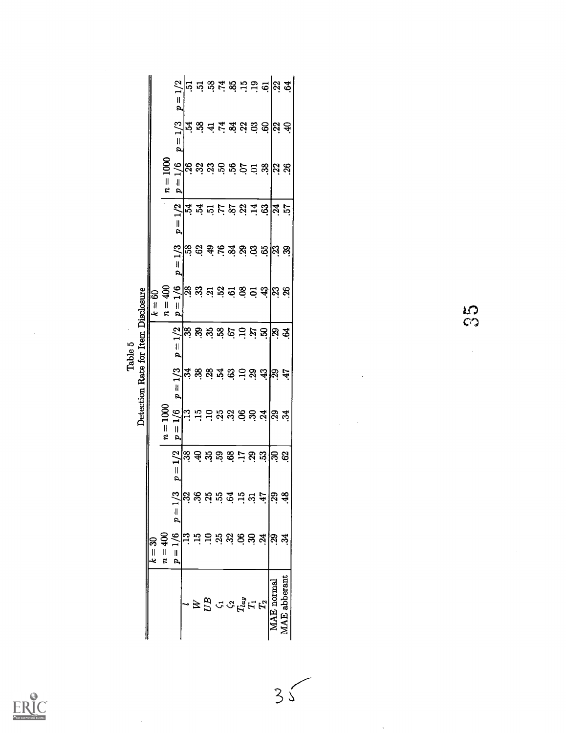|         |                                    |                                 |                                      | $= 1/2$                                |  |  |                                                                                                                              |  | rà rà rà rà rà rà lai sà |                 |              |
|---------|------------------------------------|---------------------------------|--------------------------------------|----------------------------------------|--|--|------------------------------------------------------------------------------------------------------------------------------|--|--------------------------|-----------------|--------------|
|         |                                    |                                 |                                      | p,<br>1/3<br>$\ $<br>Þ,                |  |  |                                                                                                                              |  | <b>¤ ≋ = F æ 8 8 8</b>   | $\overline{22}$ | ₽            |
|         |                                    |                                 | 1000<br>$= u$                        | $\frac{1}{6}$<br>$p =$                 |  |  | <b>ន្លំ ន្លំ ន្លំ ន្លំ ទី</b> ទី ន្លំ                                                                                        |  |                          | 22              | 26           |
|         |                                    |                                 |                                      | 1/2<br>$p =$                           |  |  |                                                                                                                              |  | ははににやけこの                 | 24              | 52           |
|         |                                    |                                 |                                      | 1/3<br>$\parallel$<br>p,               |  |  | នៃ ន ទ ៩ ៩ ន ៩ ៩ ៩                                                                                                           |  |                          | ାଷ୍ଟ            | 39           |
|         |                                    | 8<br>$\left\  {}\right\ $<br>يد | $\mathfrak{g}$<br>$\boldsymbol{n} =$ | 1/6<br>II<br>$\mathbf{q}$              |  |  | ಜಿ ಜ ಚ ಜ ದ ಹ ದ ಕ                                                                                                             |  |                          | $\overline{23}$ | 26           |
| Table 5 | Detection Rate for Item Disclosure |                                 |                                      | 1/2<br>$p =$                           |  |  | ន់ ន់ ន់ ន់ ទី ក ម ម                                                                                                         |  |                          | 8               | S,           |
|         |                                    |                                 |                                      | 1/3<br>$p =$                           |  |  | ង ន ន ដ ន ទ ទ ន ទ                                                                                                            |  |                          | $\overline{5}$  | 47           |
|         |                                    |                                 | 1000<br>$\boldsymbol{n} =$           | 1/6<br>$\mathbf l$<br>$\boldsymbol{a}$ |  |  | $\Xi$ $\Xi$ $\Xi$ ង ង ខ ខ ន ង                                                                                                |  |                          | $\overline{66}$ | $\mathbf{z}$ |
|         |                                    |                                 |                                      | 1/2<br>$\parallel$<br>p,               |  |  | $\ddot{\mathbf{e}}$ a $\ddot{\mathbf{e}}$ a $\ddot{\mathbf{e}}$ a $\ddot{\mathbf{e}}$ a $\ddot{\mathbf{e}}$                  |  |                          | ສ               | 8            |
|         |                                    |                                 |                                      | $p = 1/3$                              |  |  | <b>ង្គ្រះ និ</b> ដ្ឋ ដំង                                                                                                     |  |                          | 29              | 48           |
|         |                                    | $k = 30$                        | $n = 400$                            | $\frac{1}{6}$<br>$\overline{a}$        |  |  | <u>ដូដ មន្ទន់ ទី មន្ទ្រវ</u>                                                                                                 |  |                          | <u>ಇ ಇ</u>      |              |
|         |                                    |                                 |                                      |                                        |  |  | $\mathbb{E}\mathbb{E}\sup_{\mathcal{G}}\mathbb{E}\sup_{\mathcal{G}}\mathbb{E}\sup_{\mathcal{G}}\mathbb{E}\sup_{\mathcal{G}}$ |  |                          | MAE normal      | MAE abberant |
|         |                                    |                                 |                                      |                                        |  |  |                                                                                                                              |  |                          |                 |              |



 $\hat{\mathcal{A}}$ 

 $\hat{\mathcal{A}}$ 

 $35$ 

 $\hat{\boldsymbol{\gamma}}$ 

 $\frac{1}{3}$ 

 $\frac{1}{2}$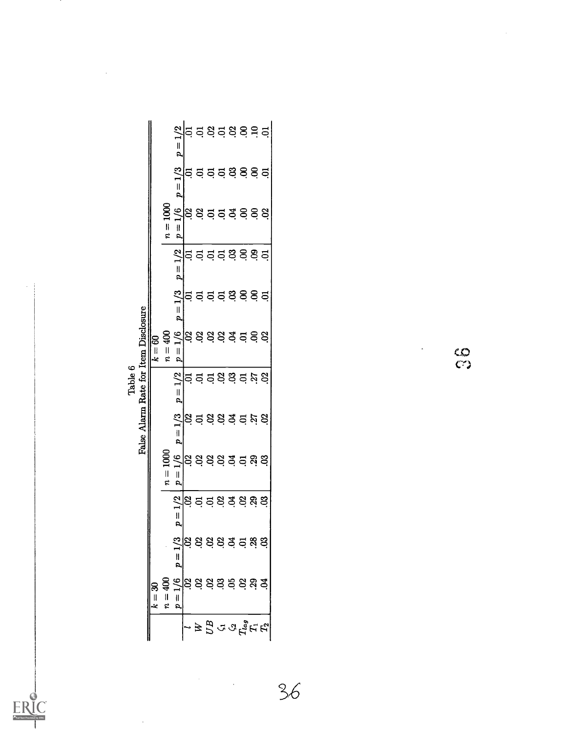|         |                                      |                    |                                 | 1/2<br>$p =$                                         | ¦≘             |           |  | 5858895                                         |              |                 |                |  |
|---------|--------------------------------------|--------------------|---------------------------------|------------------------------------------------------|----------------|-----------|--|-------------------------------------------------|--------------|-----------------|----------------|--|
|         |                                      |                    |                                 | 1/3<br>$p =$                                         | <b>G</b>       |           |  | 5558                                            | $\mathbf{g}$ | $\mathbf{g}$    | $\overline{a}$ |  |
|         |                                      |                    | $\frac{8}{2}$<br>$\overline{n}$ | $\sqrt{6}$<br>$\parallel$<br>Þ,                      | 8              |           |  | 85558                                           |              | $\mathbf{S}$    | 8              |  |
|         |                                      |                    |                                 | $\frac{1}{2}$<br>$\mathbf{p} =$                      | S              | E.        |  | 5538                                            |              | පි              | ප              |  |
|         |                                      |                    |                                 | $\frac{1}{3}$<br>$\label{eq:1} \pmb{\parallel}$<br>Ä | $\overline{0}$ |           |  | 55588                                           |              | 85              |                |  |
|         |                                      | ៜ<br>$\frac{1}{2}$ | 400<br>$\mathsf{II}$<br>t       | 1/6<br>$p =$                                         |                |           |  | 염역역역 특응역                                        |              |                 |                |  |
| Table 6 | False Alarm Rate for Item Disclosure |                    |                                 | 1/2<br>$p =$                                         | <b>ic</b>      |           |  | 5588558                                         |              |                 |                |  |
|         |                                      |                    |                                 | 1/3<br>$p =$                                         |                |           |  | 8 5 8 8 3 5 5 8                                 |              |                 |                |  |
|         |                                      |                    | .1000<br>$\mathsf{II}$<br>t,    | 1/6<br>$\mathbf{I}$<br>ä                             |                |           |  | 888835                                          |              | ಇ ಇ             |                |  |
|         |                                      |                    |                                 | 1/2<br>$\overline{p}$                                |                |           |  | 8 5 5 8 3 8 8                                   |              |                 | $\infty$       |  |
|         |                                      |                    |                                 |                                                      |                | $p = 1/3$ |  |                                                 |              | 8 8 8 8 5 5 8 8 |                |  |
|         |                                      | ఇ<br>بد            | $\mathbf{I}$<br>E,              | $\left\Vert {}\right\Vert$<br>Ä,                     |                |           |  | <u> ရွှေ</u> ချွံ ချွံ ချွံ ချွံ ချွံ ချွံ ချွံ |              |                 |                |  |
|         |                                      |                    |                                 |                                                      |                |           |  |                                                 |              |                 |                |  |

 $\sim$ 

 $\cdot$ 

 $ER$ 

 $\hat{\mathcal{A}}$ 

 $36$ 

 $\label{eq:2.1} \frac{1}{2} \sum_{i=1}^n \frac{1}{2} \sum_{j=1}^n \frac{1}{2} \sum_{j=1}^n \frac{1}{2} \sum_{j=1}^n \frac{1}{2} \sum_{j=1}^n \frac{1}{2} \sum_{j=1}^n \frac{1}{2} \sum_{j=1}^n \frac{1}{2} \sum_{j=1}^n \frac{1}{2} \sum_{j=1}^n \frac{1}{2} \sum_{j=1}^n \frac{1}{2} \sum_{j=1}^n \frac{1}{2} \sum_{j=1}^n \frac{1}{2} \sum_{j=1}^n \frac{$ 

 $\frac{1}{2}$ 

J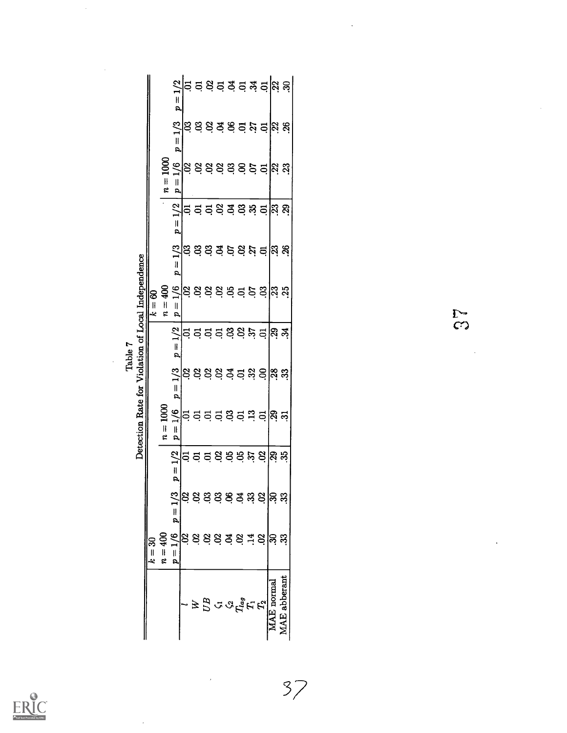|              | Ĕ            |   |
|--------------|--------------|---|
|              | J            |   |
| - 17.12<br>2 | TOT.<br>ola. | i |
|              | ē            |   |

 $\frac{1}{2}$ 

 $\frac{1}{\sqrt{2}}$ 

 $\hat{\mathcal{A}}$ 

|         |                                                    |                                  |                            | 1/2<br>H<br>P,                                                                         | 5  |                   |                        |  |               |                |                         | 5855572      |  |     |   |                        |  |  |  |  |  |                                        |  |    |
|---------|----------------------------------------------------|----------------------------------|----------------------------|----------------------------------------------------------------------------------------|----|-------------------|------------------------|--|---------------|----------------|-------------------------|--------------|--|-----|---|------------------------|--|--|--|--|--|----------------------------------------|--|----|
|         |                                                    |                                  |                            | $\frac{1}{3}$<br>$p =$                                                                 | ິ  | $\ddot{\text{o}}$ |                        |  | <b>SSSSSS</b> |                | 22                      | 88           |  |     |   |                        |  |  |  |  |  |                                        |  |    |
|         |                                                    |                                  | 1000<br>$\boldsymbol{n} =$ | $\frac{6}{1}$<br>II<br>Þ                                                               | 8  |                   | 8888855                |  |               |                | 22                      | షి           |  |     |   |                        |  |  |  |  |  |                                        |  |    |
|         |                                                    |                                  |                            | $^{1/2}$<br>$\ $<br>Ä,                                                                 | ຣຸ |                   | 5583885                |  |               |                | $\overline{\mathbb{E}}$ | ని           |  |     |   |                        |  |  |  |  |  |                                        |  |    |
|         |                                                    |                                  |                            | 1/3<br>$p =$                                                                           |    |                   | ខុខទុខុទុខងុត          |  |               |                | ଅ                       | $\mathbf{g}$ |  |     |   |                        |  |  |  |  |  |                                        |  |    |
|         | Detection Rate for Violation of Local Independence | 8<br>$\mathbf{\mathsf{I}}$<br>Ŀ, | 400<br>$\mathsf{II}$<br>t, | $\frac{1}{6}$<br>$\mathbf{  }$<br>p                                                    | 3  |                   | 888855                 |  |               | $\ddot{\circ}$ | 23                      | 25           |  |     |   |                        |  |  |  |  |  |                                        |  |    |
| Table 7 |                                                    |                                  |                            | 1/2<br>$\ensuremath{\mathsf{H}}$<br>p,                                                 | ຣ  |                   | 5558855                |  |               |                | $\overline{5}$          | ౘ            |  |     |   |                        |  |  |  |  |  |                                        |  |    |
|         |                                                    |                                  |                            | 1/3<br>$\parallel$<br>Þ,                                                               |    |                   | 8888358                |  |               | $\mathbf{S}$   | $\frac{8}{3}$           | ౢ            |  |     |   |                        |  |  |  |  |  |                                        |  |    |
|         |                                                    |                                  | 1000<br>$\boldsymbol{n} =$ | $\frac{1}{6}$<br>$\begin{array}{c} \text{ } \\ \text{ } \\ \text{ } \end{array}$<br>Þ, | ē  |                   | 555853                 |  |               | $\overline{a}$ | 29                      | ನ            |  |     |   |                        |  |  |  |  |  |                                        |  |    |
|         |                                                    |                                  |                            | $^{1/2}$<br>ł<br>P.                                                                    | ົວ |                   | 558885                 |  |               | $\mathbf{S}$   | 29                      | ౘ            |  |     |   |                        |  |  |  |  |  |                                        |  |    |
|         |                                                    |                                  | $\overline{n} =$           |                                                                                        |    | 400               |                        |  |               |                |                         |              |  |     |   | $\frac{1}{3}$<br>$p =$ |  |  |  |  |  | <u>ခြဲ ခြဲ ခြဲ ခြဲ ခြဲ ခြံ ခြံ ခြံ</u> |  | 33 |
|         |                                                    | ఇ<br>$\frac{1}{2}$               |                            |                                                                                        |    |                   | $\frac{1}{6}$<br>$p =$ |  |               | 88883878       |                         |              |  | န္က | ౢ |                        |  |  |  |  |  |                                        |  |    |
|         |                                                    |                                  |                            |                                                                                        |    |                   | $E_B \approx c_1 c_B$  |  |               |                | <b>MAE</b> normal       | MAE abberant |  |     |   |                        |  |  |  |  |  |                                        |  |    |

 $\frac{1}{2}$ 

 $\ddot{\phantom{a}}$ 

 $\underset{\overbrace{\mathsf{Full}\text{ test Prooted by } \text{End}}}{\mathsf{ERUC}}$ 

 $\sum_{\Gamma\prec}$ 

 $\ddot{\phantom{0}}$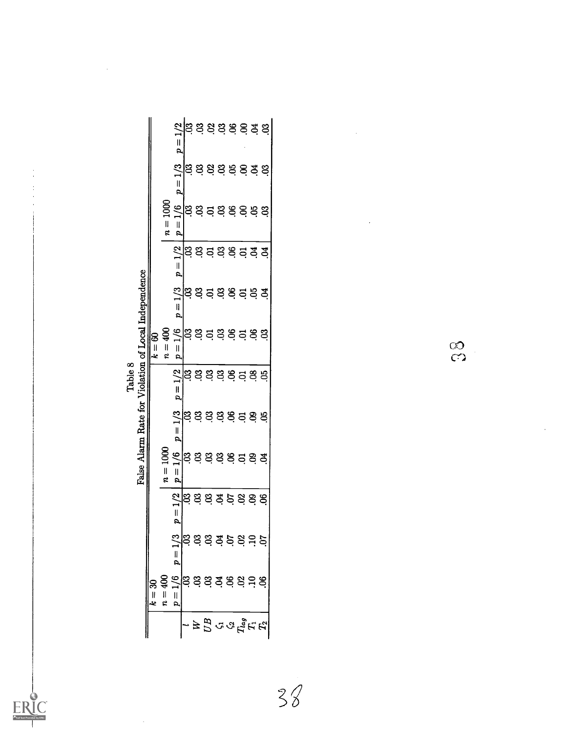|         |                                                      |                    |                          | $\overline{p}$                                |                 |                     |                       |              | ္ခုဒ္မ ဒ္မ ဒ္မ ဒ္မ ဒ္မ ဒ္မ                                                                               |                |                |              |  |
|---------|------------------------------------------------------|--------------------|--------------------------|-----------------------------------------------|-----------------|---------------------|-----------------------|--------------|----------------------------------------------------------------------------------------------------------|----------------|----------------|--------------|--|
|         |                                                      |                    |                          | 1/3<br>$\mathbf{p}$                           | ຌ               |                     |                       |              | 8888                                                                                                     |                | 83             | ຮ            |  |
|         |                                                      |                    | 1000<br>$\overline{n} =$ | $\frac{6}{5}$<br>$\vert\vert$<br>$\mathbf{a}$ | $\overline{60}$ |                     | 35                    |              | <u>පි පි</u>                                                                                             | $\mathbf{S}$   | 8              | පි           |  |
|         |                                                      |                    |                          | 1/2<br>$\mathbf{I}$<br>$\mathbf{a}$           | 3               |                     |                       |              | 8888888                                                                                                  |                |                |              |  |
|         |                                                      |                    |                          | $\frac{1}{3}$<br>$p =$                        | <u>ප</u>        |                     | ខុត                   | $\mathbf{3}$ | $\mathfrak{S}$                                                                                           | $\Xi$          | $\ddot{\circ}$ | ਣ            |  |
|         |                                                      | $k = 60$           | 400<br>$\mathbf l$<br>t, | 1/6<br>$p =$                                  | 3               |                     |                       |              | 88888                                                                                                    |                | $\mathfrak{S}$ | 3            |  |
| Table 8 |                                                      |                    |                          | 1/2<br>$p =$                                  |                 |                     |                       |              | ឌុឌុឌុឌុឌុឌុ                                                                                             |                | 85             |              |  |
|         |                                                      |                    |                          | 1/3<br>$\mathbf{p} =$                         | ဒြ              | $\ddot{\mathbf{S}}$ | ಇ ಇ                   |              | $\mathfrak{S}$                                                                                           | $\overline{a}$ | $\mathbf{e}$   | 8            |  |
|         | False Alarm Rate for Violation of Local Independence |                    | 8<br>$\overline{n}$ =    | $\frac{1}{6}$<br>$\mathbf{I}$<br>Ä            |                 |                     | පු පු පු පු <u>පු</u> |              |                                                                                                          | $\overline{5}$ | 8              | F            |  |
|         |                                                      |                    |                          | 1/2<br>$p =$                                  |                 |                     |                       |              | 8883588                                                                                                  |                |                | $\mathbf{8}$ |  |
|         |                                                      |                    |                          | S<br>$p=1/$ .                                 |                 |                     |                       |              | <mark>ន្នន្នដូទ្នន</mark> ្ន                                                                             |                |                |              |  |
|         |                                                      | ສ<br>$\frac{1}{2}$ | $\overline{n} =$         | $\vec{z}$ s s s s s s s s s<br>$p =$          |                 |                     |                       |              |                                                                                                          |                |                |              |  |
|         |                                                      |                    |                          |                                               |                 |                     |                       |              | $B_0$ and $\sigma$ $\frac{1}{2}$ and $\frac{1}{2}$ and $\frac{1}{2}$ and $\frac{1}{2}$ and $\frac{1}{2}$ |                |                |              |  |

 $\sim 10^{11}$ 

ERIC

 $\mathcal{A}^{\mathcal{A}}$ 

 $\frac{1}{2}$ 

 $\ddot{\phantom{a}}$ 

 $\frac{1}{2}$ 

 $\hat{\mathcal{A}}$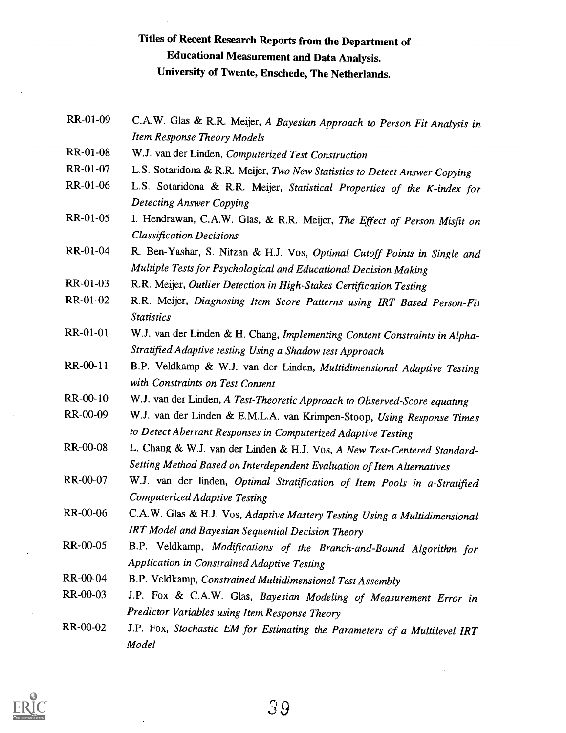# Titles of Recent Research Reports from the Department of Educational Measurement and Data Analysis. University of Twente, Enschede, The Netherlands.

RR-01-09 C.A.W. Glas & R.R. Meijer, A Bayesian Approach to Person Fit Analysis in Item Response Theory Models RR-01-08 W.J. van der Linden, Computerized Test Construction RR-01-07 L.S. Sotaridona & R.R. Meijer, Two New Statistics to Detect Answer Copying RR-01-06 L.S. Sotaridona & R.R. Meijer, Statistical Properties of the K-index for Detecting Answer Copying RR-01-05 I. Hendrawan, C.A.W. Glas, & R.R. Meijer, The Effect of Person Misfit on Classification Decisions RR-01-04 R. Ben-Yashar, S. Nitzan & H.J. Vos, Optimal Cutoff Points in Single and Multiple Tests for Psychological and Educational Decision Making RR-01-03 R.R. Meijer, Outlier Detection in High-Stakes Certification Testing RR -01 -02 R.R. Meijer, Diagnosing Item Score Patterns using IRT Based Person-Fit **Statistics** RR-01-01 W.J. van der Linden & H. Chang, Implementing Content Constraints in Alpha-Stratified Adaptive testing Using a Shadow test Approach RR-00-11 B.P. Veldkamp & W.J. van der Linden, Multidimensional Adaptive Testing with Constraints on Test Content RR-00-10 W.J. van der Linden, A Test-Theoretic Approach to Observed-Score equating RR-00-09 W.J. van der Linden & E.M.L.A. van Krimpen-Stoop, Using Response Times to Detect Aberrant Responses in Computerized Adaptive Testing RR-00-08 L. Chang & W.J. van der Linden & H.J. Vos, A New Test-Centered Standard-Setting Method Based on Interdependent Evaluation of Item Alternatives RR-00-07 W.J. van der linden, Optimal Stratification of Item Pools in a-Stratified Computerized Adaptive Testing RR-00-06 C.A.W. Glas & H.J. Vos, Adaptive Mastery Testing Using a Multidimensional IRT Model and Bayesian Sequential Decision Theory RR-00-05 B.P. Veldkamp, Modifications of the Branch-and-Bound Algorithm for Application in Constrained Adaptive Testing RR-00-04 B.P. Veldkamp, Constrained Multidimensional Test Assembly RR-00-03 J.P. Fox & C.A.W. Glas, Bayesian Modeling of Measurement Error in Predictor Variables using Item Response Theory RR-00-02 J.P. Fox, Stochastic EM for Estimating the Parameters of a Multilevel IRT Model



 $\beta$ .9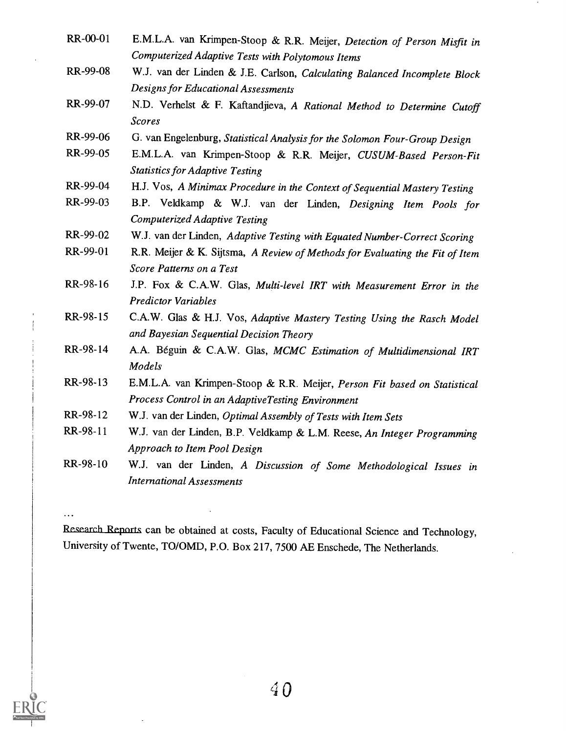- RR-00-01 E.M.L.A. van Krimpen-Stoop & R.R. Meijer, Detection of Person Misfit in Computerized Adaptive Tests with Polytomous Items
- RR-99-08 W.J. van der Linden & J.E. Carlson, Calculating Balanced Incomplete Block Designs for Educational Assessments
- RR-99-07 N.D. Verhelst & F. Kaftandjieva, A Rational Method to Determine Cutoff Scores
- RR-99-06 G. van Engelenburg, Statistical Analysis for the Solomon Four-Group Design
- RR-99-05 E.M.L.A. van Krimpen-Stoop & R.R. Meijer, CUSUM-Based Person-Fit Statistics for Adaptive Testing
- RR-99-04 H.J. Vos, A Minimax Procedure in the Context of Sequential Mastery Testing
- RR-99-03 B.P. Veldkamp & W.J. van der Linden, Designing Item Pools for Computerized Adaptive Testing
- RR-99-02 W.J. van der Linden, Adaptive Testing with Equated Number-Correct Scoring
- RR-99-01 R.R. Meijer & K. Sijtsma, A Review of Methods for Evaluating the Fit of Item Score Patterns on a Test
- RR-98-16 J.P. Fox & C.A.W. Glas, Multi-level IRT with Measurement Error in the Predictor Variables
- RR-98-15 C.A.W. Glas & H.J. Vos, Adaptive Mastery Testing Using the Rasch Model and Bayesian Sequential Decision Theory
- RR-98-14 A.A. Béguin & C.A.W. Glas, MCMC Estimation of Multidimensional IRT Models
- RR-98-13 E.M.L.A. van Krimpen-Stoop & R.R. Meijer, Person Fit based on Statistical Process Control in an AdaptiveTesting Environment
- RR-98-12 W.J. van der Linden, Optimal Assembly of Tests with Item Sets

 $\ddotsc$ 

- RR-98-11 W.J. van der Linden, B.P. Veldkamp & L.M. Reese, An Integer Programming Approach to Item Pool Design
- RR-98-10 W.J. van der Linden, A Discussion of Some Methodological Issues in International Assessments

Research Reports can be obtained at costs, Faculty of Educational Science and Technology, University of Twente, TO/OMD, P.O. Box 217, 7500 AE Enschede, The Netherlands.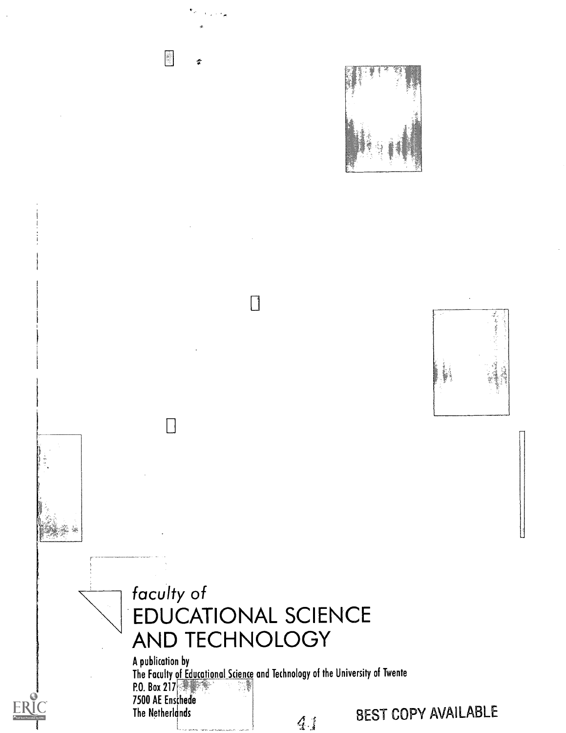